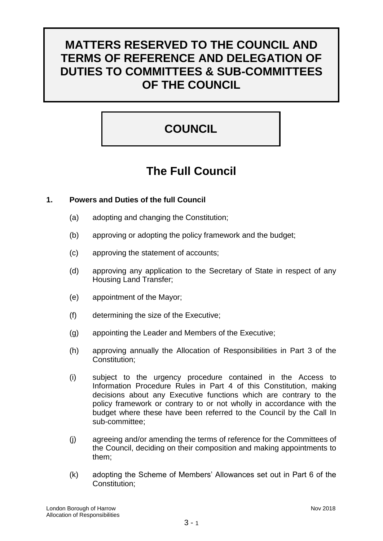# **MATTERS RESERVED TO THE COUNCIL AND TERMS OF REFERENCE AND DELEGATION OF DUTIES TO COMMITTEES & SUB-COMMITTEES OF THE COUNCIL**

# **COUNCIL**

# **The Full Council**

# **1. Powers and Duties of the full Council**

- (a) adopting and changing the Constitution;
- (b) approving or adopting the policy framework and the budget;
- (c) approving the statement of accounts;
- (d) approving any application to the Secretary of State in respect of any Housing Land Transfer;
- (e) appointment of the Mayor;
- (f) determining the size of the Executive;
- (g) appointing the Leader and Members of the Executive;
- (h) approving annually the Allocation of Responsibilities in Part 3 of the Constitution;
- (i) subject to the urgency procedure contained in the Access to Information Procedure Rules in Part 4 of this Constitution, making decisions about any Executive functions which are contrary to the policy framework or contrary to or not wholly in accordance with the budget where these have been referred to the Council by the Call In sub-committee;
- (j) agreeing and/or amending the terms of reference for the Committees of the Council, deciding on their composition and making appointments to them;
- (k) adopting the Scheme of Members' Allowances set out in Part 6 of the Constitution;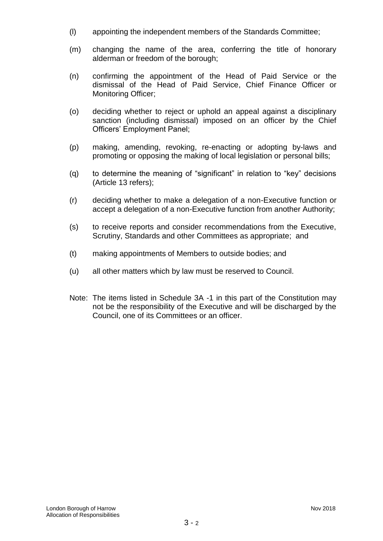- (l) appointing the independent members of the Standards Committee;
- (m) changing the name of the area, conferring the title of honorary alderman or freedom of the borough;
- (n) confirming the appointment of the Head of Paid Service or the dismissal of the Head of Paid Service, Chief Finance Officer or Monitoring Officer;
- (o) deciding whether to reject or uphold an appeal against a disciplinary sanction (including dismissal) imposed on an officer by the Chief Officers' Employment Panel;
- (p) making, amending, revoking, re-enacting or adopting by-laws and promoting or opposing the making of local legislation or personal bills;
- (q) to determine the meaning of "significant" in relation to "key" decisions (Article 13 refers);
- (r) deciding whether to make a delegation of a non-Executive function or accept a delegation of a non-Executive function from another Authority;
- (s) to receive reports and consider recommendations from the Executive, Scrutiny, Standards and other Committees as appropriate; and
- (t) making appointments of Members to outside bodies; and
- (u) all other matters which by law must be reserved to Council.
- Note: The items listed in Schedule 3A -1 in this part of the Constitution may not be the responsibility of the Executive and will be discharged by the Council, one of its Committees or an officer.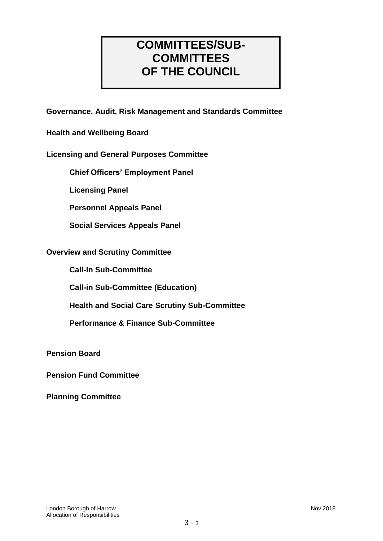# **COMMITTEES/SUB-COMMITTEES OF THE COUNCIL**

**Governance, Audit, Risk Management and Standards Committee**

**Health and Wellbeing Board**

# **Licensing and General Purposes Committee**

**Chief Officers' Employment Panel**

**Licensing Panel**

**Personnel Appeals Panel**

**Social Services Appeals Panel**

### **Overview and Scrutiny Committee**

**Call-In Sub-Committee**

**Call-in Sub-Committee (Education)**

**Health and Social Care Scrutiny Sub-Committee**

**Performance & Finance Sub-Committee**

**Pension Board**

**Pension Fund Committee**

**Planning Committee**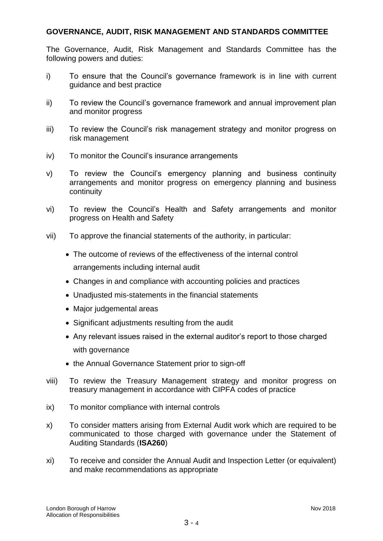### **GOVERNANCE, AUDIT, RISK MANAGEMENT AND STANDARDS COMMITTEE**

The Governance, Audit, Risk Management and Standards Committee has the following powers and duties:

- i) To ensure that the Council's governance framework is in line with current guidance and best practice
- ii) To review the Council's governance framework and annual improvement plan and monitor progress
- iii) To review the Council's risk management strategy and monitor progress on risk management
- iv) To monitor the Council's insurance arrangements
- v) To review the Council's emergency planning and business continuity arrangements and monitor progress on emergency planning and business continuity
- vi) To review the Council's Health and Safety arrangements and monitor progress on Health and Safety
- vii) To approve the financial statements of the authority, in particular:
	- The outcome of reviews of the effectiveness of the internal control arrangements including internal audit
	- Changes in and compliance with accounting policies and practices
	- Unadjusted mis-statements in the financial statements
	- Major judgemental areas
	- Significant adjustments resulting from the audit
	- Any relevant issues raised in the external auditor's report to those charged with governance
	- the Annual Governance Statement prior to sign-off
- viii) To review the Treasury Management strategy and monitor progress on treasury management in accordance with CIPFA codes of practice
- ix) To monitor compliance with internal controls
- x) To consider matters arising from External Audit work which are required to be communicated to those charged with governance under the Statement of Auditing Standards (**ISA260**)
- xi) To receive and consider the Annual Audit and Inspection Letter (or equivalent) and make recommendations as appropriate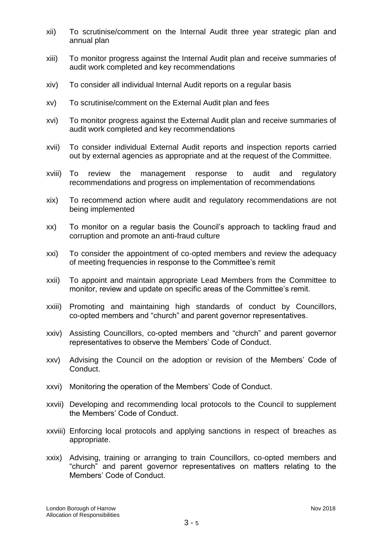- xii) To scrutinise/comment on the Internal Audit three year strategic plan and annual plan
- xiii) To monitor progress against the Internal Audit plan and receive summaries of audit work completed and key recommendations
- xiv) To consider all individual Internal Audit reports on a regular basis
- xv) To scrutinise/comment on the External Audit plan and fees
- xvi) To monitor progress against the External Audit plan and receive summaries of audit work completed and key recommendations
- xvii) To consider individual External Audit reports and inspection reports carried out by external agencies as appropriate and at the request of the Committee.
- xviii) To review the management response to audit and regulatory recommendations and progress on implementation of recommendations
- xix) To recommend action where audit and regulatory recommendations are not being implemented
- xx) To monitor on a regular basis the Council's approach to tackling fraud and corruption and promote an anti-fraud culture
- xxi) To consider the appointment of co-opted members and review the adequacy of meeting frequencies in response to the Committee's remit
- xxii) To appoint and maintain appropriate Lead Members from the Committee to monitor, review and update on specific areas of the Committee's remit.
- xxiii) Promoting and maintaining high standards of conduct by Councillors, co-opted members and "church" and parent governor representatives.
- xxiv) Assisting Councillors, co-opted members and "church" and parent governor representatives to observe the Members' Code of Conduct.
- xxv) Advising the Council on the adoption or revision of the Members' Code of Conduct.
- xxvi) Monitoring the operation of the Members' Code of Conduct.
- xxvii) Developing and recommending local protocols to the Council to supplement the Members' Code of Conduct.
- xxviii) Enforcing local protocols and applying sanctions in respect of breaches as appropriate.
- xxix) Advising, training or arranging to train Councillors, co-opted members and "church" and parent governor representatives on matters relating to the Members' Code of Conduct.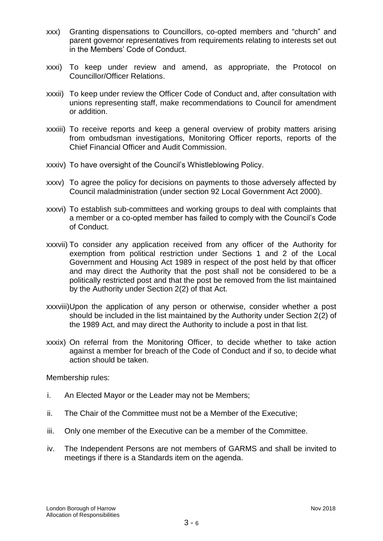- xxx) Granting dispensations to Councillors, co-opted members and "church" and parent governor representatives from requirements relating to interests set out in the Members' Code of Conduct.
- xxxi) To keep under review and amend, as appropriate, the Protocol on Councillor/Officer Relations.
- xxxii) To keep under review the Officer Code of Conduct and, after consultation with unions representing staff, make recommendations to Council for amendment or addition.
- xxxiii) To receive reports and keep a general overview of probity matters arising from ombudsman investigations, Monitoring Officer reports, reports of the Chief Financial Officer and Audit Commission.
- xxxiv) To have oversight of the Council's Whistleblowing Policy.
- xxxv) To agree the policy for decisions on payments to those adversely affected by Council maladministration (under section 92 Local Government Act 2000).
- xxxvi) To establish sub-committees and working groups to deal with complaints that a member or a co-opted member has failed to comply with the Council's Code of Conduct.
- xxxvii) To consider any application received from any officer of the Authority for exemption from political restriction under Sections 1 and 2 of the Local Government and Housing Act 1989 in respect of the post held by that officer and may direct the Authority that the post shall not be considered to be a politically restricted post and that the post be removed from the list maintained by the Authority under Section 2(2) of that Act.
- xxxviii)Upon the application of any person or otherwise, consider whether a post should be included in the list maintained by the Authority under Section 2(2) of the 1989 Act, and may direct the Authority to include a post in that list.
- xxxix) On referral from the Monitoring Officer, to decide whether to take action against a member for breach of the Code of Conduct and if so, to decide what action should be taken.

Membership rules:

- i. An Elected Mayor or the Leader may not be Members;
- ii. The Chair of the Committee must not be a Member of the Executive;
- iii. Only one member of the Executive can be a member of the Committee.
- iv. The Independent Persons are not members of GARMS and shall be invited to meetings if there is a Standards item on the agenda.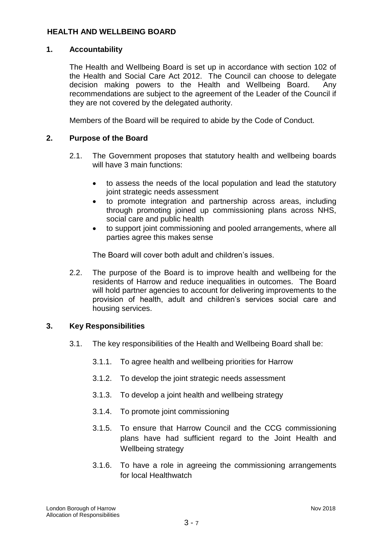### **HEALTH AND WELLBEING BOARD**

### **1. Accountability**

The Health and Wellbeing Board is set up in accordance with section 102 of the Health and Social Care Act 2012. The Council can choose to delegate decision making powers to the Health and Wellbeing Board. Any recommendations are subject to the agreement of the Leader of the Council if they are not covered by the delegated authority.

Members of the Board will be required to abide by the Code of Conduct.

# **2. Purpose of the Board**

- 2.1. The Government proposes that statutory health and wellbeing boards will have 3 main functions:
	- to assess the needs of the local population and lead the statutory joint strategic needs assessment
	- to promote integration and partnership across areas, including through promoting joined up commissioning plans across NHS, social care and public health
	- to support joint commissioning and pooled arrangements, where all parties agree this makes sense

The Board will cover both adult and children's issues.

2.2. The purpose of the Board is to improve health and wellbeing for the residents of Harrow and reduce inequalities in outcomes. The Board will hold partner agencies to account for delivering improvements to the provision of health, adult and children's services social care and housing services.

### **3. Key Responsibilities**

- 3.1. The key responsibilities of the Health and Wellbeing Board shall be:
	- 3.1.1. To agree health and wellbeing priorities for Harrow
	- 3.1.2. To develop the joint strategic needs assessment
	- 3.1.3. To develop a joint health and wellbeing strategy
	- 3.1.4. To promote joint commissioning
	- 3.1.5. To ensure that Harrow Council and the CCG commissioning plans have had sufficient regard to the Joint Health and Wellbeing strategy
	- 3.1.6. To have a role in agreeing the commissioning arrangements for local Healthwatch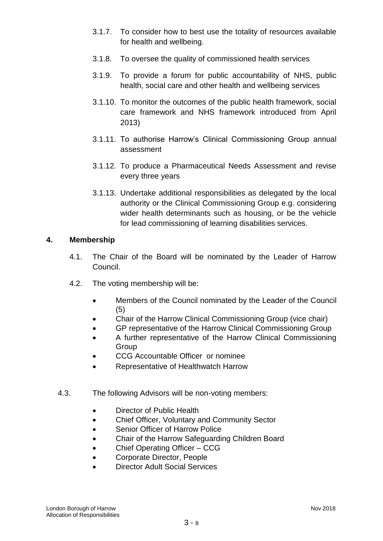- 3.1.7. To consider how to best use the totality of resources available for health and wellbeing.
- 3.1.8. To oversee the quality of commissioned health services
- 3.1.9. To provide a forum for public accountability of NHS, public health, social care and other health and wellbeing services
- 3.1.10. To monitor the outcomes of the public health framework, social care framework and NHS framework introduced from April 2013)
- 3.1.11. To authorise Harrow's Clinical Commissioning Group annual assessment
- 3.1.12. To produce a Pharmaceutical Needs Assessment and revise every three years
- 3.1.13. Undertake additional responsibilities as delegated by the local authority or the Clinical Commissioning Group e.g. considering wider health determinants such as housing, or be the vehicle for lead commissioning of learning disabilities services.

### **4. Membership**

- 4.1. The Chair of the Board will be nominated by the Leader of Harrow Council.
- 4.2. The voting membership will be:
	- Members of the Council nominated by the Leader of the Council (5)
	- Chair of the Harrow Clinical Commissioning Group (vice chair)
	- GP representative of the Harrow Clinical Commissioning Group
	- A further representative of the Harrow Clinical Commissioning **Group**
	- CCG Accountable Officer or nominee
	- Representative of Healthwatch Harrow
- 4.3. The following Advisors will be non-voting members:
	- Director of Public Health
	- Chief Officer, Voluntary and Community Sector
	- Senior Officer of Harrow Police
	- Chair of the Harrow Safeguarding Children Board
	- Chief Operating Officer CCG
	- Corporate Director, People
	- Director Adult Social Services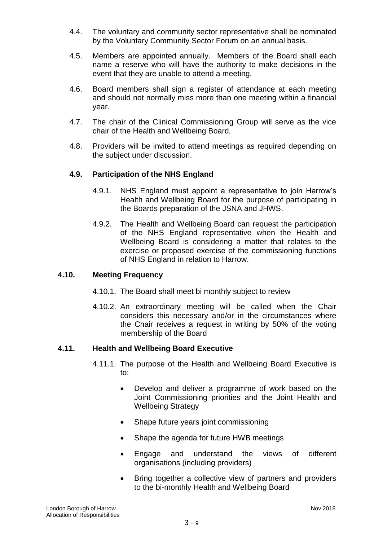- 4.4. The voluntary and community sector representative shall be nominated by the Voluntary Community Sector Forum on an annual basis.
- 4.5. Members are appointed annually. Members of the Board shall each name a reserve who will have the authority to make decisions in the event that they are unable to attend a meeting.
- 4.6. Board members shall sign a register of attendance at each meeting and should not normally miss more than one meeting within a financial year.
- 4.7. The chair of the Clinical Commissioning Group will serve as the vice chair of the Health and Wellbeing Board.
- 4.8. Providers will be invited to attend meetings as required depending on the subject under discussion.

### **4.9. Participation of the NHS England**

- 4.9.1. NHS England must appoint a representative to join Harrow's Health and Wellbeing Board for the purpose of participating in the Boards preparation of the JSNA and JHWS.
- 4.9.2. The Health and Wellbeing Board can request the participation of the NHS England representative when the Health and Wellbeing Board is considering a matter that relates to the exercise or proposed exercise of the commissioning functions of NHS England in relation to Harrow.

### **4.10. Meeting Frequency**

- 4.10.1. The Board shall meet bi monthly subject to review
- 4.10.2. An extraordinary meeting will be called when the Chair considers this necessary and/or in the circumstances where the Chair receives a request in writing by 50% of the voting membership of the Board

### **4.11. Health and Wellbeing Board Executive**

- 4.11.1. The purpose of the Health and Wellbeing Board Executive is to:
	- Develop and deliver a programme of work based on the Joint Commissioning priorities and the Joint Health and Wellbeing Strategy
	- Shape future years joint commissioning
	- Shape the agenda for future HWB meetings
	- Engage and understand the views of different organisations (including providers)
	- Bring together a collective view of partners and providers to the bi-monthly Health and Wellbeing Board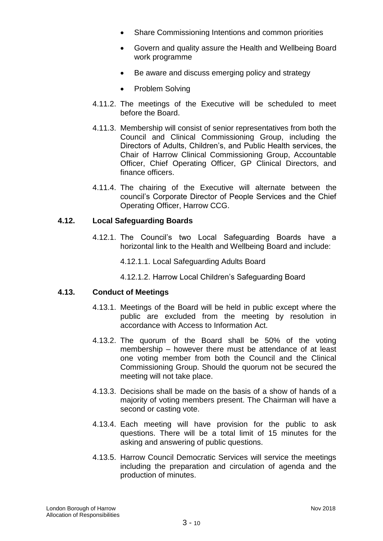- Share Commissioning Intentions and common priorities
- Govern and quality assure the Health and Wellbeing Board work programme
- Be aware and discuss emerging policy and strategy
- Problem Solving
- 4.11.2. The meetings of the Executive will be scheduled to meet before the Board.
- 4.11.3. Membership will consist of senior representatives from both the Council and Clinical Commissioning Group, including the Directors of Adults, Children's, and Public Health services, the Chair of Harrow Clinical Commissioning Group, Accountable Officer, Chief Operating Officer, GP Clinical Directors, and finance officers.
- 4.11.4. The chairing of the Executive will alternate between the council's Corporate Director of People Services and the Chief Operating Officer, Harrow CCG.

# **4.12. Local Safeguarding Boards**

- 4.12.1. The Council's two Local Safeguarding Boards have a horizontal link to the Health and Wellbeing Board and include:
	- 4.12.1.1. Local Safeguarding Adults Board
	- 4.12.1.2. Harrow Local Children's Safeguarding Board

### **4.13. Conduct of Meetings**

- 4.13.1. Meetings of the Board will be held in public except where the public are excluded from the meeting by resolution in accordance with Access to Information Act.
- 4.13.2. The quorum of the Board shall be 50% of the voting membership – however there must be attendance of at least one voting member from both the Council and the Clinical Commissioning Group. Should the quorum not be secured the meeting will not take place.
- 4.13.3. Decisions shall be made on the basis of a show of hands of a majority of voting members present. The Chairman will have a second or casting vote.
- 4.13.4. Each meeting will have provision for the public to ask questions. There will be a total limit of 15 minutes for the asking and answering of public questions.
- 4.13.5. Harrow Council Democratic Services will service the meetings including the preparation and circulation of agenda and the production of minutes.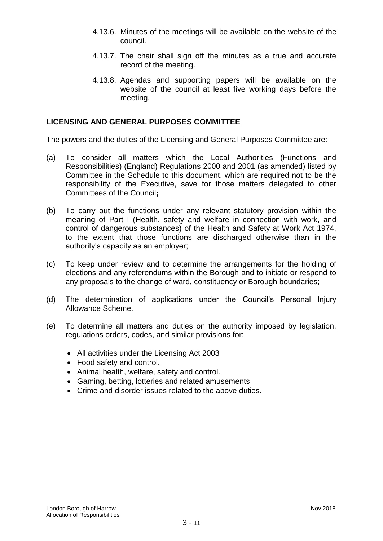- 4.13.6. Minutes of the meetings will be available on the website of the council.
- 4.13.7. The chair shall sign off the minutes as a true and accurate record of the meeting.
- 4.13.8. Agendas and supporting papers will be available on the website of the council at least five working days before the meeting.

### **LICENSING AND GENERAL PURPOSES COMMITTEE**

The powers and the duties of the Licensing and General Purposes Committee are:

- (a) To consider all matters which the Local Authorities (Functions and Responsibilities) (England) Regulations 2000 and 2001 (as amended) listed by Committee in the Schedule to this document, which are required not to be the responsibility of the Executive, save for those matters delegated to other Committees of the Council**;**
- (b) To carry out the functions under any relevant statutory provision within the meaning of Part I (Health, safety and welfare in connection with work, and control of dangerous substances) of the Health and Safety at Work Act 1974, to the extent that those functions are discharged otherwise than in the authority's capacity as an employer;
- (c) To keep under review and to determine the arrangements for the holding of elections and any referendums within the Borough and to initiate or respond to any proposals to the change of ward, constituency or Borough boundaries;
- (d) The determination of applications under the Council's Personal Injury Allowance Scheme.
- (e) To determine all matters and duties on the authority imposed by legislation, regulations orders, codes, and similar provisions for:
	- All activities under the Licensing Act 2003
	- Food safety and control.
	- Animal health, welfare, safety and control.
	- Gaming, betting, lotteries and related amusements
	- Crime and disorder issues related to the above duties.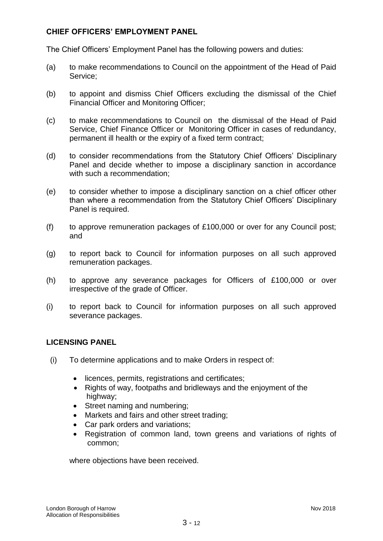# **CHIEF OFFICERS' EMPLOYMENT PANEL**

The Chief Officers' Employment Panel has the following powers and duties:

- (a) to make recommendations to Council on the appointment of the Head of Paid Service;
- (b) to appoint and dismiss Chief Officers excluding the dismissal of the Chief Financial Officer and Monitoring Officer;
- (c) to make recommendations to Council on the dismissal of the Head of Paid Service, Chief Finance Officer or Monitoring Officer in cases of redundancy, permanent ill health or the expiry of a fixed term contract;
- (d) to consider recommendations from the Statutory Chief Officers' Disciplinary Panel and decide whether to impose a disciplinary sanction in accordance with such a recommendation;
- (e) to consider whether to impose a disciplinary sanction on a chief officer other than where a recommendation from the Statutory Chief Officers' Disciplinary Panel is required.
- (f) to approve remuneration packages of £100,000 or over for any Council post; and
- (g) to report back to Council for information purposes on all such approved remuneration packages.
- (h) to approve any severance packages for Officers of £100,000 or over irrespective of the grade of Officer.
- (i) to report back to Council for information purposes on all such approved severance packages.

### **LICENSING PANEL**

- (i) To determine applications and to make Orders in respect of:
	- licences, permits, registrations and certificates;
	- Rights of way, footpaths and bridleways and the enjoyment of the highway;
	- Street naming and numbering;
	- Markets and fairs and other street trading;
	- Car park orders and variations;
	- Registration of common land, town greens and variations of rights of common;

where objections have been received.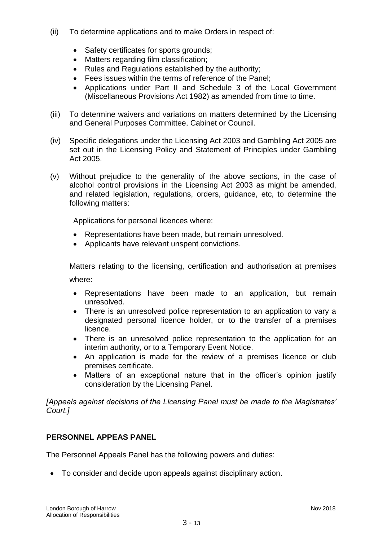- (ii) To determine applications and to make Orders in respect of:
	- Safety certificates for sports grounds:
	- Matters regarding film classification;
	- Rules and Regulations established by the authority:
	- Fees issues within the terms of reference of the Panel;
	- Applications under Part II and Schedule 3 of the Local Government (Miscellaneous Provisions Act 1982) as amended from time to time.
- (iii) To determine waivers and variations on matters determined by the Licensing and General Purposes Committee, Cabinet or Council.
- (iv) Specific delegations under the Licensing Act 2003 and Gambling Act 2005 are set out in the Licensing Policy and Statement of Principles under Gambling Act 2005.
- (v) Without prejudice to the generality of the above sections, in the case of alcohol control provisions in the Licensing Act 2003 as might be amended, and related legislation, regulations, orders, guidance, etc, to determine the following matters:

Applications for personal licences where:

- Representations have been made, but remain unresolved.
- Applicants have relevant unspent convictions.

Matters relating to the licensing, certification and authorisation at premises where:

- Representations have been made to an application, but remain unresolved.
- There is an unresolved police representation to an application to vary a designated personal licence holder, or to the transfer of a premises licence.
- There is an unresolved police representation to the application for an interim authority, or to a Temporary Event Notice.
- An application is made for the review of a premises licence or club premises certificate.
- Matters of an exceptional nature that in the officer's opinion justify consideration by the Licensing Panel.

*[Appeals against decisions of the Licensing Panel must be made to the Magistrates' Court.]*

# **PERSONNEL APPEAS PANEL**

The Personnel Appeals Panel has the following powers and duties:

To consider and decide upon appeals against disciplinary action.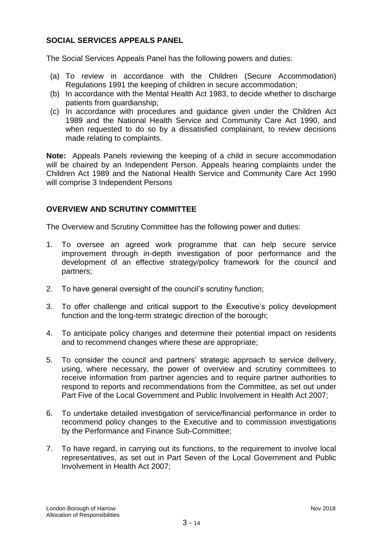# **SOCIAL SERVICES APPEALS PANEL**

The Social Services Appeals Panel has the following powers and duties:

- (a) To review in accordance with the Children (Secure Accommodation) Regulations 1991 the keeping of children in secure accommodation;
- (b) In accordance with the Mental Health Act 1983, to decide whether to discharge patients from guardianship;
- (c) In accordance with procedures and guidance given under the Children Act 1989 and the National Health Service and Community Care Act 1990, and when requested to do so by a dissatisfied complainant, to review decisions made relating to complaints.

**Note:** Appeals Panels reviewing the keeping of a child in secure accommodation will be chaired by an Independent Person. Appeals hearing complaints under the Children Act 1989 and the National Health Service and Community Care Act 1990 will comprise 3 Independent Persons

### **OVERVIEW AND SCRUTINY COMMITTEE**

The Overview and Scrutiny Committee has the following power and duties:

- 1. To oversee an agreed work programme that can help secure service improvement through in-depth investigation of poor performance and the development of an effective strategy/policy framework for the council and partners;
- 2. To have general oversight of the council's scrutiny function;
- 3. To offer challenge and critical support to the Executive's policy development function and the long-term strategic direction of the borough;
- 4. To anticipate policy changes and determine their potential impact on residents and to recommend changes where these are appropriate;
- 5. To consider the council and partners' strategic approach to service delivery, using, where necessary, the power of overview and scrutiny committees to receive information from partner agencies and to require partner authorities to respond to reports and recommendations from the Committee, as set out under Part Five of the Local Government and Public Involvement in Health Act 2007;
- 6. To undertake detailed investigation of service/financial performance in order to recommend policy changes to the Executive and to commission investigations by the Performance and Finance Sub-Committee;
- 7. To have regard, in carrying out its functions, to the requirement to involve local representatives, as set out in Part Seven of the Local Government and Public Involvement in Health Act 2007;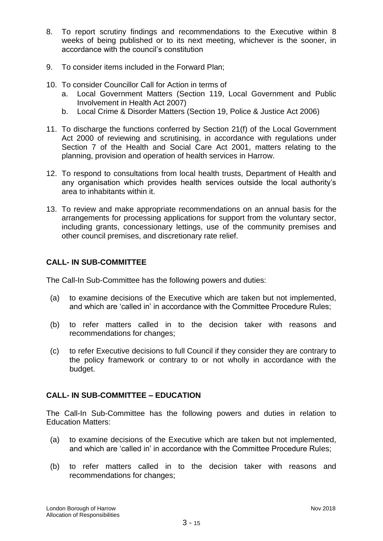- 8. To report scrutiny findings and recommendations to the Executive within 8 weeks of being published or to its next meeting, whichever is the sooner, in accordance with the council's constitution
- 9. To consider items included in the Forward Plan;
- 10. To consider Councillor Call for Action in terms of
	- a. Local Government Matters (Section 119, Local Government and Public Involvement in Health Act 2007)
	- b. Local Crime & Disorder Matters (Section 19, Police & Justice Act 2006)
- 11. To discharge the functions conferred by Section 21(f) of the Local Government Act 2000 of reviewing and scrutinising, in accordance with regulations under Section 7 of the Health and Social Care Act 2001, matters relating to the planning, provision and operation of health services in Harrow.
- 12. To respond to consultations from local health trusts, Department of Health and any organisation which provides health services outside the local authority's area to inhabitants within it.
- 13. To review and make appropriate recommendations on an annual basis for the arrangements for processing applications for support from the voluntary sector, including grants, concessionary lettings, use of the community premises and other council premises, and discretionary rate relief.

# **CALL- IN SUB-COMMITTEE**

The Call-In Sub-Committee has the following powers and duties:

- (a) to examine decisions of the Executive which are taken but not implemented, and which are 'called in' in accordance with the Committee Procedure Rules;
- (b) to refer matters called in to the decision taker with reasons and recommendations for changes;
- (c) to refer Executive decisions to full Council if they consider they are contrary to the policy framework or contrary to or not wholly in accordance with the budget.

# **CALL- IN SUB-COMMITTEE – EDUCATION**

The Call-In Sub-Committee has the following powers and duties in relation to Education Matters:

- (a) to examine decisions of the Executive which are taken but not implemented, and which are 'called in' in accordance with the Committee Procedure Rules;
- (b) to refer matters called in to the decision taker with reasons and recommendations for changes;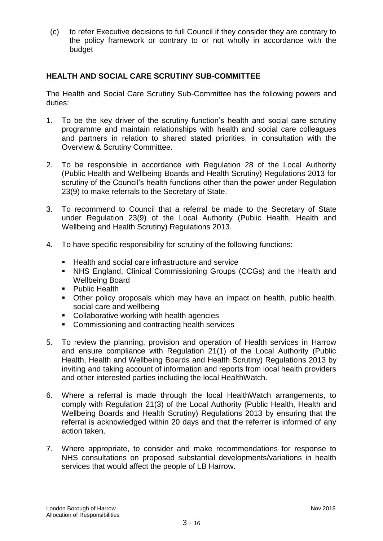(c) to refer Executive decisions to full Council if they consider they are contrary to the policy framework or contrary to or not wholly in accordance with the budget

# **HEALTH AND SOCIAL CARE SCRUTINY SUB-COMMITTEE**

The Health and Social Care Scrutiny Sub-Committee has the following powers and duties:

- 1. To be the key driver of the scrutiny function's health and social care scrutiny programme and maintain relationships with health and social care colleagues and partners in relation to shared stated priorities, in consultation with the Overview & Scrutiny Committee.
- 2. To be responsible in accordance with Regulation 28 of the Local Authority (Public Health and Wellbeing Boards and Health Scrutiny) Regulations 2013 for scrutiny of the Council's health functions other than the power under Regulation 23(9) to make referrals to the Secretary of State.
- 3. To recommend to Council that a referral be made to the Secretary of State under Regulation 23(9) of the Local Authority (Public Health, Health and Wellbeing and Health Scrutiny) Regulations 2013.
- 4. To have specific responsibility for scrutiny of the following functions:
	- Health and social care infrastructure and service
	- NHS England, Clinical Commissioning Groups (CCGs) and the Health and Wellbeing Board
	- **Public Health**
	- Other policy proposals which may have an impact on health, public health, social care and wellbeing
	- Collaborative working with health agencies
	- **Commissioning and contracting health services**
- 5. To review the planning, provision and operation of Health services in Harrow and ensure compliance with Regulation 21(1) of the Local Authority (Public Health, Health and Wellbeing Boards and Health Scrutiny) Regulations 2013 by inviting and taking account of information and reports from local health providers and other interested parties including the local HealthWatch.
- 6. Where a referral is made through the local HealthWatch arrangements, to comply with Regulation 21(3) of the Local Authority (Public Health, Health and Wellbeing Boards and Health Scrutiny) Regulations 2013 by ensuring that the referral is acknowledged within 20 days and that the referrer is informed of any action taken.
- 7. Where appropriate, to consider and make recommendations for response to NHS consultations on proposed substantial developments/variations in health services that would affect the people of LB Harrow.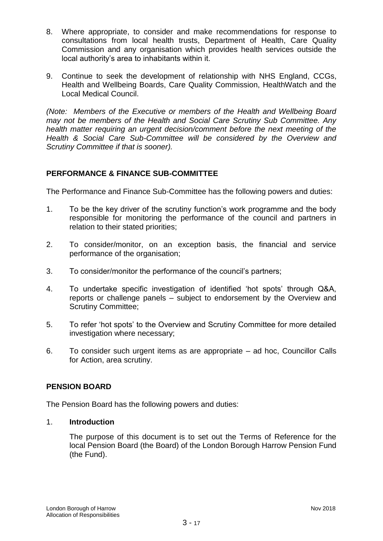- 8. Where appropriate, to consider and make recommendations for response to consultations from local health trusts, Department of Health, Care Quality Commission and any organisation which provides health services outside the local authority's area to inhabitants within it.
- 9. Continue to seek the development of relationship with NHS England, CCGs, Health and Wellbeing Boards, Care Quality Commission, HealthWatch and the Local Medical Council.

*(Note: Members of the Executive or members of the Health and Wellbeing Board may not be members of the Health and Social Care Scrutiny Sub Committee. Any health matter requiring an urgent decision/comment before the next meeting of the Health & Social Care Sub-Committee will be considered by the Overview and Scrutiny Committee if that is sooner).*

# **PERFORMANCE & FINANCE SUB-COMMITTEE**

The Performance and Finance Sub-Committee has the following powers and duties:

- 1. To be the key driver of the scrutiny function's work programme and the body responsible for monitoring the performance of the council and partners in relation to their stated priorities;
- 2. To consider/monitor, on an exception basis, the financial and service performance of the organisation;
- 3. To consider/monitor the performance of the council's partners;
- 4. To undertake specific investigation of identified 'hot spots' through Q&A, reports or challenge panels – subject to endorsement by the Overview and Scrutiny Committee;
- 5. To refer 'hot spots' to the Overview and Scrutiny Committee for more detailed investigation where necessary;
- 6. To consider such urgent items as are appropriate ad hoc, Councillor Calls for Action, area scrutiny.

### **PENSION BOARD**

The Pension Board has the following powers and duties:

### 1. **Introduction**

The purpose of this document is to set out the Terms of Reference for the local Pension Board (the Board) of the London Borough Harrow Pension Fund (the Fund).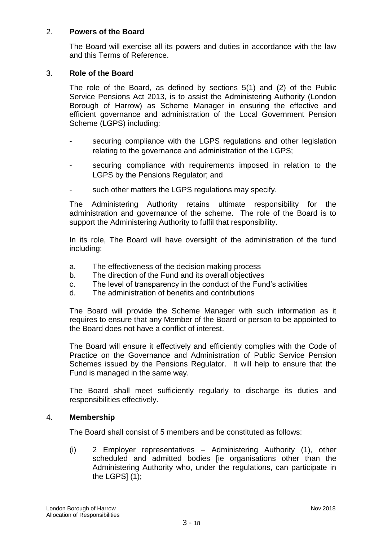### 2. **Powers of the Board**

The Board will exercise all its powers and duties in accordance with the law and this Terms of Reference.

### 3. **Role of the Board**

The role of the Board, as defined by sections 5(1) and (2) of the Public Service Pensions Act 2013, is to assist the Administering Authority (London Borough of Harrow) as Scheme Manager in ensuring the effective and efficient governance and administration of the Local Government Pension Scheme (LGPS) including:

- securing compliance with the LGPS regulations and other legislation relating to the governance and administration of the LGPS;
- securing compliance with requirements imposed in relation to the LGPS by the Pensions Regulator; and
- such other matters the LGPS regulations may specify.

The Administering Authority retains ultimate responsibility for the administration and governance of the scheme. The role of the Board is to support the Administering Authority to fulfil that responsibility.

In its role, The Board will have oversight of the administration of the fund including:

- a. The effectiveness of the decision making process
- b. The direction of the Fund and its overall objectives
- c. The level of transparency in the conduct of the Fund's activities
- d. The administration of benefits and contributions

The Board will provide the Scheme Manager with such information as it requires to ensure that any Member of the Board or person to be appointed to the Board does not have a conflict of interest.

The Board will ensure it effectively and efficiently complies with the Code of Practice on the Governance and Administration of Public Service Pension Schemes issued by the Pensions Regulator. It will help to ensure that the Fund is managed in the same way.

The Board shall meet sufficiently regularly to discharge its duties and responsibilities effectively.

### 4. **Membership**

The Board shall consist of 5 members and be constituted as follows:

(i) 2 Employer representatives – Administering Authority (1), other scheduled and admitted bodies [ie organisations other than the Administering Authority who, under the regulations, can participate in the LGPS $(1)$ ;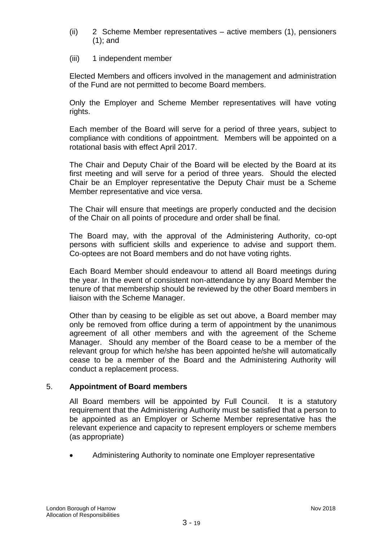- (ii) 2 Scheme Member representatives active members (1), pensioners (1); and
- (iii) 1 independent member

Elected Members and officers involved in the management and administration of the Fund are not permitted to become Board members.

Only the Employer and Scheme Member representatives will have voting rights.

Each member of the Board will serve for a period of three years, subject to compliance with conditions of appointment. Members will be appointed on a rotational basis with effect April 2017.

The Chair and Deputy Chair of the Board will be elected by the Board at its first meeting and will serve for a period of three years. Should the elected Chair be an Employer representative the Deputy Chair must be a Scheme Member representative and vice versa.

The Chair will ensure that meetings are properly conducted and the decision of the Chair on all points of procedure and order shall be final.

The Board may, with the approval of the Administering Authority, co-opt persons with sufficient skills and experience to advise and support them. Co-optees are not Board members and do not have voting rights.

Each Board Member should endeavour to attend all Board meetings during the year. In the event of consistent non-attendance by any Board Member the tenure of that membership should be reviewed by the other Board members in liaison with the Scheme Manager.

Other than by ceasing to be eligible as set out above, a Board member may only be removed from office during a term of appointment by the unanimous agreement of all other members and with the agreement of the Scheme Manager. Should any member of the Board cease to be a member of the relevant group for which he/she has been appointed he/she will automatically cease to be a member of the Board and the Administering Authority will conduct a replacement process.

### 5. **Appointment of Board members**

All Board members will be appointed by Full Council. It is a statutory requirement that the Administering Authority must be satisfied that a person to be appointed as an Employer or Scheme Member representative has the relevant experience and capacity to represent employers or scheme members (as appropriate)

Administering Authority to nominate one Employer representative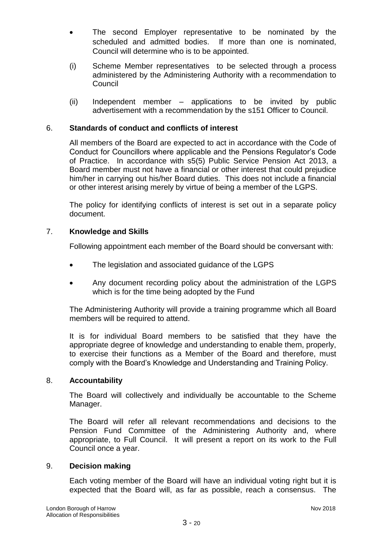- The second Employer representative to be nominated by the scheduled and admitted bodies. If more than one is nominated, Council will determine who is to be appointed.
- (i) Scheme Member representatives to be selected through a process administered by the Administering Authority with a recommendation to **Council**
- (ii) Independent member applications to be invited by public advertisement with a recommendation by the s151 Officer to Council.

# 6. **Standards of conduct and conflicts of interest**

All members of the Board are expected to act in accordance with the Code of Conduct for Councillors where applicable and the Pensions Regulator's Code of Practice. In accordance with s5(5) Public Service Pension Act 2013, a Board member must not have a financial or other interest that could prejudice him/her in carrying out his/her Board duties. This does not include a financial or other interest arising merely by virtue of being a member of the LGPS.

The policy for identifying conflicts of interest is set out in a separate policy document.

### 7. **Knowledge and Skills**

Following appointment each member of the Board should be conversant with:

- The legislation and associated guidance of the LGPS
- Any document recording policy about the administration of the LGPS which is for the time being adopted by the Fund

The Administering Authority will provide a training programme which all Board members will be required to attend.

It is for individual Board members to be satisfied that they have the appropriate degree of knowledge and understanding to enable them, properly, to exercise their functions as a Member of the Board and therefore, must comply with the Board's Knowledge and Understanding and Training Policy.

### 8. **Accountability**

The Board will collectively and individually be accountable to the Scheme Manager.

The Board will refer all relevant recommendations and decisions to the Pension Fund Committee of the Administering Authority and, where appropriate, to Full Council. It will present a report on its work to the Full Council once a year.

### 9. **Decision making**

Each voting member of the Board will have an individual voting right but it is expected that the Board will, as far as possible, reach a consensus. The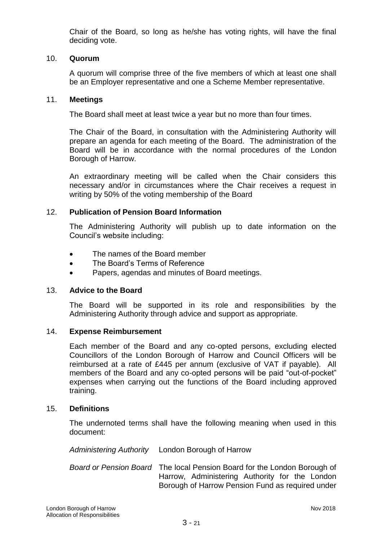Chair of the Board, so long as he/she has voting rights, will have the final deciding vote.

### 10. **Quorum**

A quorum will comprise three of the five members of which at least one shall be an Employer representative and one a Scheme Member representative.

### 11. **Meetings**

The Board shall meet at least twice a year but no more than four times.

The Chair of the Board, in consultation with the Administering Authority will prepare an agenda for each meeting of the Board. The administration of the Board will be in accordance with the normal procedures of the London Borough of Harrow.

An extraordinary meeting will be called when the Chair considers this necessary and/or in circumstances where the Chair receives a request in writing by 50% of the voting membership of the Board

### 12. **Publication of Pension Board Information**

The Administering Authority will publish up to date information on the Council's website including:

- The names of the Board member
- The Board's Terms of Reference
- Papers, agendas and minutes of Board meetings.

### 13. **Advice to the Board**

The Board will be supported in its role and responsibilities by the Administering Authority through advice and support as appropriate.

### 14. **Expense Reimbursement**

Each member of the Board and any co-opted persons, excluding elected Councillors of the London Borough of Harrow and Council Officers will be reimbursed at a rate of £445 per annum (exclusive of VAT if payable). All members of the Board and any co-opted persons will be paid "out-of-pocket" expenses when carrying out the functions of the Board including approved training.

### 15. **Definitions**

The undernoted terms shall have the following meaning when used in this document:

*Administering Authority* London Borough of Harrow

*Board or Pension Board* The local Pension Board for the London Borough of Harrow, Administering Authority for the London Borough of Harrow Pension Fund as required under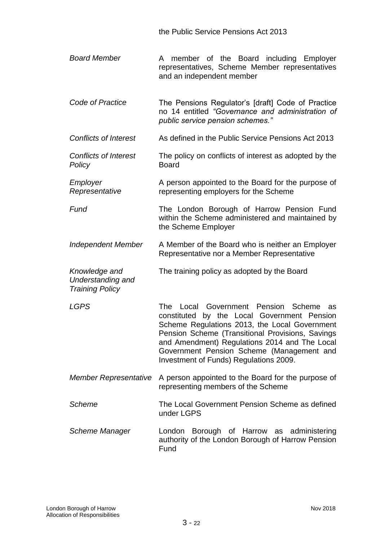the Public Service Pensions Act 2013

- *Board Member* A member of the Board including Employer representatives, Scheme Member representatives and an independent member
- *Code of Practice* The Pensions Regulator's [draft] Code of Practice no 14 entitled *"Governance and administration of public service pension schemes."*
- *Conflicts of Interest* As defined in the Public Service Pensions Act 2013
- *Conflicts of Interest Policy* The policy on conflicts of interest as adopted by the Board
- *Employer Representative* A person appointed to the Board for the purpose of representing employers for the Scheme

**Fund The London Borough of Harrow Pension Fund** within the Scheme administered and maintained by the Scheme Employer

- *Independent Member* A Member of the Board who is neither an Employer Representative nor a Member Representative
- *Knowledge and Understanding and*  The training policy as adopted by the Board

*Training Policy*

*LGPS* The Local Government Pension Scheme as constituted by the Local Government Pension Scheme Regulations 2013, the Local Government Pension Scheme (Transitional Provisions, Savings and Amendment) Regulations 2014 and The Local Government Pension Scheme (Management and Investment of Funds) Regulations 2009.

- *Member Representative* A person appointed to the Board for the purpose of representing members of the Scheme
- *Scheme* The Local Government Pension Scheme as defined under LGPS
- *Scheme Manager* London Borough of Harrow as administering authority of the London Borough of Harrow Pension Fund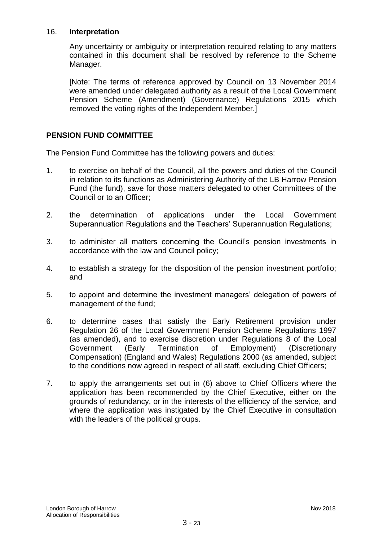### 16. **Interpretation**

Any uncertainty or ambiguity or interpretation required relating to any matters contained in this document shall be resolved by reference to the Scheme Manager.

[Note: The terms of reference approved by Council on 13 November 2014 were amended under delegated authority as a result of the Local Government Pension Scheme (Amendment) (Governance) Regulations 2015 which removed the voting rights of the Independent Member.]

# **PENSION FUND COMMITTEE**

The Pension Fund Committee has the following powers and duties:

- 1. to exercise on behalf of the Council, all the powers and duties of the Council in relation to its functions as Administering Authority of the LB Harrow Pension Fund (the fund), save for those matters delegated to other Committees of the Council or to an Officer;
- 2. the determination of applications under the Local Government Superannuation Regulations and the Teachers' Superannuation Regulations;
- 3. to administer all matters concerning the Council's pension investments in accordance with the law and Council policy;
- 4. to establish a strategy for the disposition of the pension investment portfolio; and
- 5. to appoint and determine the investment managers' delegation of powers of management of the fund;
- 6. to determine cases that satisfy the Early Retirement provision under Regulation 26 of the Local Government Pension Scheme Regulations 1997 (as amended), and to exercise discretion under Regulations 8 of the Local Government (Early Termination of Employment) (Discretionary Compensation) (England and Wales) Regulations 2000 (as amended, subject to the conditions now agreed in respect of all staff, excluding Chief Officers;
- 7. to apply the arrangements set out in (6) above to Chief Officers where the application has been recommended by the Chief Executive, either on the grounds of redundancy, or in the interests of the efficiency of the service, and where the application was instigated by the Chief Executive in consultation with the leaders of the political groups.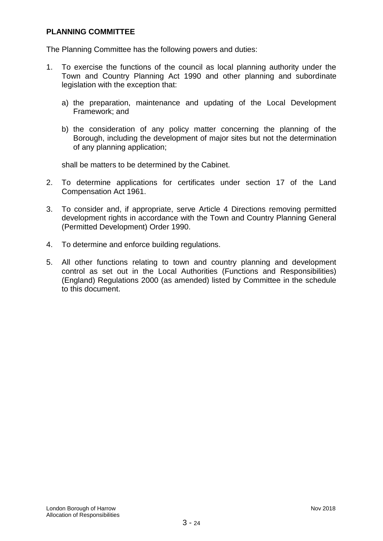### **PLANNING COMMITTEE**

The Planning Committee has the following powers and duties:

- 1. To exercise the functions of the council as local planning authority under the Town and Country Planning Act 1990 and other planning and subordinate legislation with the exception that:
	- a) the preparation, maintenance and updating of the Local Development Framework; and
	- b) the consideration of any policy matter concerning the planning of the Borough, including the development of major sites but not the determination of any planning application;

shall be matters to be determined by the Cabinet.

- 2. To determine applications for certificates under section 17 of the Land Compensation Act 1961.
- 3. To consider and, if appropriate, serve Article 4 Directions removing permitted development rights in accordance with the Town and Country Planning General (Permitted Development) Order 1990.
- 4. To determine and enforce building regulations.
- 5. All other functions relating to town and country planning and development control as set out in the Local Authorities (Functions and Responsibilities) (England) Regulations 2000 (as amended) listed by Committee in the schedule to this document.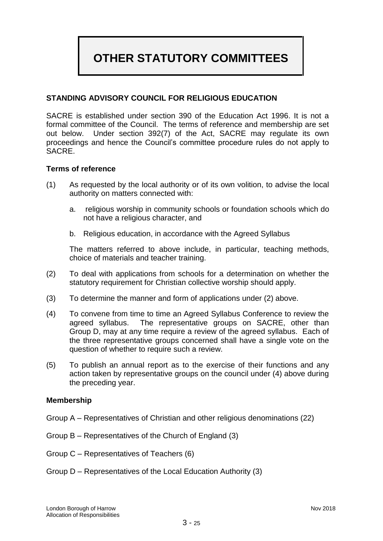# **OTHER STATUTORY COMMITTEES**

# **STANDING ADVISORY COUNCIL FOR RELIGIOUS EDUCATION**

SACRE is established under section 390 of the Education Act 1996. It is not a formal committee of the Council. The terms of reference and membership are set out below. Under section 392(7) of the Act, SACRE may regulate its own proceedings and hence the Council's committee procedure rules do not apply to SACRE.

### **Terms of reference**

- (1) As requested by the local authority or of its own volition, to advise the local authority on matters connected with:
	- a. religious worship in community schools or foundation schools which do not have a religious character, and
	- b. Religious education, in accordance with the Agreed Syllabus

The matters referred to above include, in particular, teaching methods, choice of materials and teacher training.

- (2) To deal with applications from schools for a determination on whether the statutory requirement for Christian collective worship should apply.
- (3) To determine the manner and form of applications under (2) above.
- (4) To convene from time to time an Agreed Syllabus Conference to review the agreed syllabus. The representative groups on SACRE, other than Group D, may at any time require a review of the agreed syllabus. Each of the three representative groups concerned shall have a single vote on the question of whether to require such a review.
- (5) To publish an annual report as to the exercise of their functions and any action taken by representative groups on the council under (4) above during the preceding year.

### **Membership**

- Group A Representatives of Christian and other religious denominations (22)
- Group B Representatives of the Church of England (3)
- Group C Representatives of Teachers (6)
- Group D Representatives of the Local Education Authority (3)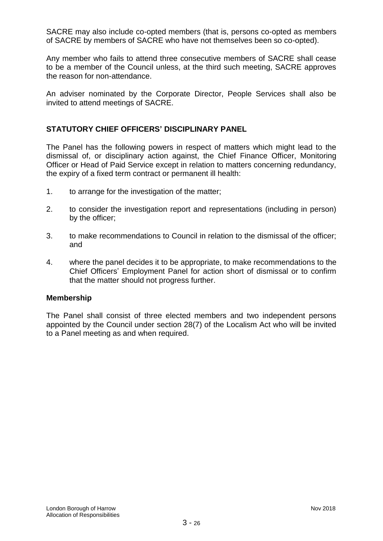SACRE may also include co-opted members (that is, persons co-opted as members of SACRE by members of SACRE who have not themselves been so co-opted).

Any member who fails to attend three consecutive members of SACRE shall cease to be a member of the Council unless, at the third such meeting, SACRE approves the reason for non-attendance.

An adviser nominated by the Corporate Director, People Services shall also be invited to attend meetings of SACRE.

### **STATUTORY CHIEF OFFICERS' DISCIPLINARY PANEL**

The Panel has the following powers in respect of matters which might lead to the dismissal of, or disciplinary action against, the Chief Finance Officer, Monitoring Officer or Head of Paid Service except in relation to matters concerning redundancy, the expiry of a fixed term contract or permanent ill health:

- 1. to arrange for the investigation of the matter;
- 2. to consider the investigation report and representations (including in person) by the officer;
- 3. to make recommendations to Council in relation to the dismissal of the officer; and
- 4. where the panel decides it to be appropriate, to make recommendations to the Chief Officers' Employment Panel for action short of dismissal or to confirm that the matter should not progress further.

### **Membership**

The Panel shall consist of three elected members and two independent persons appointed by the Council under section 28(7) of the Localism Act who will be invited to a Panel meeting as and when required.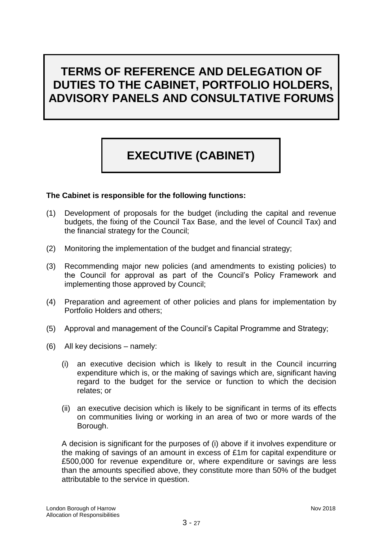# **TERMS OF REFERENCE AND DELEGATION OF DUTIES TO THE CABINET, PORTFOLIO HOLDERS, ADVISORY PANELS AND CONSULTATIVE FORUMS**

# **EXECUTIVE (CABINET)**

### **The Cabinet is responsible for the following functions:**

- (1) Development of proposals for the budget (including the capital and revenue budgets, the fixing of the Council Tax Base*,* and the level of Council Tax) and the financial strategy for the Council;
- (2) Monitoring the implementation of the budget and financial strategy;
- (3) Recommending major new policies (and amendments to existing policies) to the Council for approval as part of the Council's Policy Framework and implementing those approved by Council;
- (4) Preparation and agreement of other policies and plans for implementation by Portfolio Holders and others;
- (5) Approval and management of the Council's Capital Programme and Strategy;
- (6) All key decisions namely:
	- (i) an executive decision which is likely to result in the Council incurring expenditure which is, or the making of savings which are, significant having regard to the budget for the service or function to which the decision relates; or
	- (ii) an executive decision which is likely to be significant in terms of its effects on communities living or working in an area of two or more wards of the Borough.

A decision is significant for the purposes of (i) above if it involves expenditure or the making of savings of an amount in excess of £1m for capital expenditure or £500,000 for revenue expenditure or, where expenditure or savings are less than the amounts specified above, they constitute more than 50% of the budget attributable to the service in question.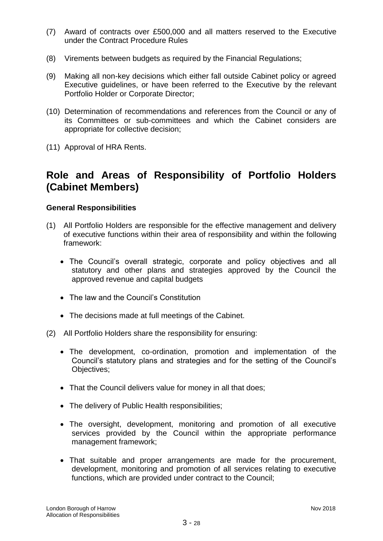- (7) Award of contracts over £500,000 and all matters reserved to the Executive under the Contract Procedure Rules
- (8) Virements between budgets as required by the Financial Regulations;
- (9) Making all non-key decisions which either fall outside Cabinet policy or agreed Executive guidelines, or have been referred to the Executive by the relevant Portfolio Holder or Corporate Director;
- (10) Determination of recommendations and references from the Council or any of its Committees or sub-committees and which the Cabinet considers are appropriate for collective decision;
- (11) Approval of HRA Rents.

# **Role and Areas of Responsibility of Portfolio Holders (Cabinet Members)**

### **General Responsibilities**

- (1) All Portfolio Holders are responsible for the effective management and delivery of executive functions within their area of responsibility and within the following framework:
	- The Council's overall strategic, corporate and policy objectives and all statutory and other plans and strategies approved by the Council the approved revenue and capital budgets
	- The law and the Council's Constitution
	- The decisions made at full meetings of the Cabinet.
- (2) All Portfolio Holders share the responsibility for ensuring:
	- The development, co-ordination, promotion and implementation of the Council's statutory plans and strategies and for the setting of the Council's Objectives;
	- That the Council delivers value for money in all that does;
	- The delivery of Public Health responsibilities;
	- The oversight, development, monitoring and promotion of all executive services provided by the Council within the appropriate performance management framework;
	- That suitable and proper arrangements are made for the procurement, development, monitoring and promotion of all services relating to executive functions, which are provided under contract to the Council;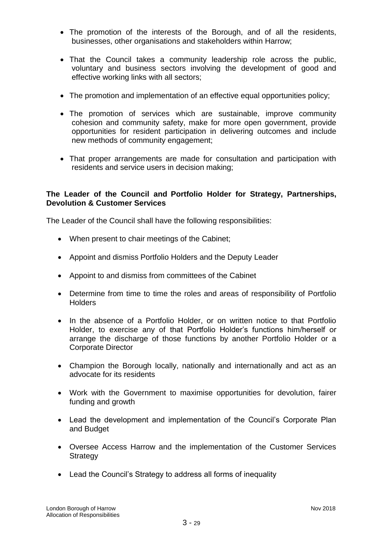- The promotion of the interests of the Borough, and of all the residents, businesses, other organisations and stakeholders within Harrow;
- That the Council takes a community leadership role across the public, voluntary and business sectors involving the development of good and effective working links with all sectors;
- The promotion and implementation of an effective equal opportunities policy;
- The promotion of services which are sustainable, improve community cohesion and community safety, make for more open government, provide opportunities for resident participation in delivering outcomes and include new methods of community engagement;
- That proper arrangements are made for consultation and participation with residents and service users in decision making;

# **The Leader of the Council and Portfolio Holder for Strategy, Partnerships, Devolution & Customer Services**

The Leader of the Council shall have the following responsibilities:

- When present to chair meetings of the Cabinet;
- Appoint and dismiss Portfolio Holders and the Deputy Leader
- Appoint to and dismiss from committees of the Cabinet
- Determine from time to time the roles and areas of responsibility of Portfolio **Holders**
- In the absence of a Portfolio Holder, or on written notice to that Portfolio Holder, to exercise any of that Portfolio Holder's functions him/herself or arrange the discharge of those functions by another Portfolio Holder or a Corporate Director
- Champion the Borough locally, nationally and internationally and act as an advocate for its residents
- Work with the Government to maximise opportunities for devolution, fairer funding and growth
- Lead the development and implementation of the Council's Corporate Plan and Budget
- Oversee Access Harrow and the implementation of the Customer Services **Strategy**
- Lead the Council's Strategy to address all forms of inequality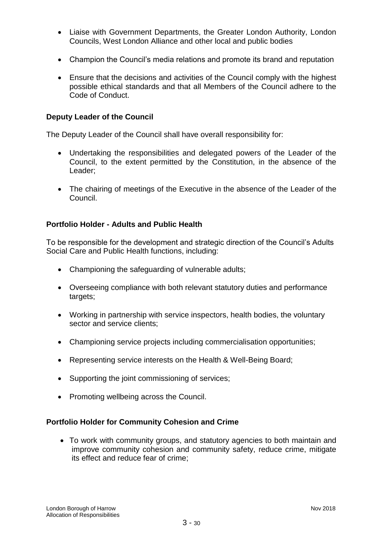- Liaise with Government Departments, the Greater London Authority, London Councils, West London Alliance and other local and public bodies
- Champion the Council's media relations and promote its brand and reputation
- Ensure that the decisions and activities of the Council comply with the highest possible ethical standards and that all Members of the Council adhere to the Code of Conduct.

### **Deputy Leader of the Council**

The Deputy Leader of the Council shall have overall responsibility for:

- Undertaking the responsibilities and delegated powers of the Leader of the Council, to the extent permitted by the Constitution, in the absence of the Leader;
- The chairing of meetings of the Executive in the absence of the Leader of the Council.

### **Portfolio Holder - Adults and Public Health**

To be responsible for the development and strategic direction of the Council's Adults Social Care and Public Health functions, including:

- Championing the safeguarding of vulnerable adults;
- Overseeing compliance with both relevant statutory duties and performance targets;
- Working in partnership with service inspectors, health bodies, the voluntary sector and service clients;
- Championing service projects including commercialisation opportunities;
- Representing service interests on the Health & Well-Being Board;
- Supporting the joint commissioning of services;
- Promoting wellbeing across the Council.

### **Portfolio Holder for Community Cohesion and Crime**

 To work with community groups, and statutory agencies to both maintain and improve community cohesion and community safety, reduce crime, mitigate its effect and reduce fear of crime;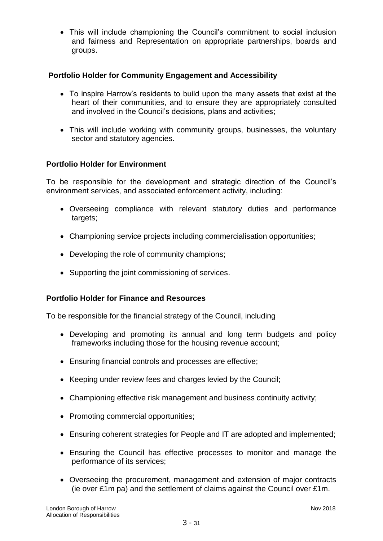This will include championing the Council's commitment to social inclusion and fairness and Representation on appropriate partnerships, boards and groups.

# **Portfolio Holder for Community Engagement and Accessibility**

- To inspire Harrow's residents to build upon the many assets that exist at the heart of their communities, and to ensure they are appropriately consulted and involved in the Council's decisions, plans and activities;
- This will include working with community groups, businesses, the voluntary sector and statutory agencies.

### **Portfolio Holder for Environment**

To be responsible for the development and strategic direction of the Council's environment services, and associated enforcement activity, including:

- Overseeing compliance with relevant statutory duties and performance targets;
- Championing service projects including commercialisation opportunities;
- Developing the role of community champions;
- Supporting the joint commissioning of services.

### **Portfolio Holder for Finance and Resources**

To be responsible for the financial strategy of the Council, including

- Developing and promoting its annual and long term budgets and policy frameworks including those for the housing revenue account;
- Ensuring financial controls and processes are effective;
- Keeping under review fees and charges levied by the Council;
- Championing effective risk management and business continuity activity;
- Promoting commercial opportunities;
- Ensuring coherent strategies for People and IT are adopted and implemented;
- Ensuring the Council has effective processes to monitor and manage the performance of its services;
- Overseeing the procurement, management and extension of major contracts (ie over £1m pa) and the settlement of claims against the Council over £1m.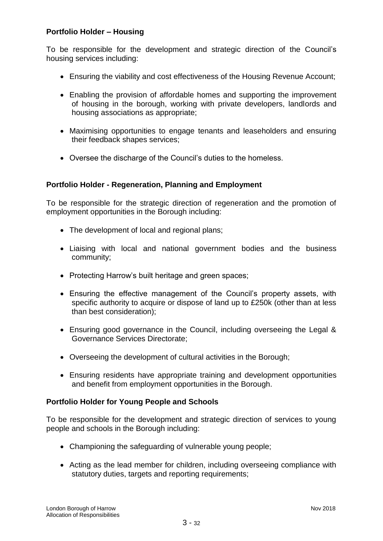# **Portfolio Holder – Housing**

To be responsible for the development and strategic direction of the Council's housing services including:

- Ensuring the viability and cost effectiveness of the Housing Revenue Account;
- Enabling the provision of affordable homes and supporting the improvement of housing in the borough, working with private developers, landlords and housing associations as appropriate;
- Maximising opportunities to engage tenants and leaseholders and ensuring their feedback shapes services;
- Oversee the discharge of the Council's duties to the homeless.

# **Portfolio Holder - Regeneration, Planning and Employment**

To be responsible for the strategic direction of regeneration and the promotion of employment opportunities in the Borough including:

- The development of local and regional plans;
- Liaising with local and national government bodies and the business community;
- Protecting Harrow's built heritage and green spaces;
- Ensuring the effective management of the Council's property assets, with specific authority to acquire or dispose of land up to £250k (other than at less than best consideration);
- Ensuring good governance in the Council, including overseeing the Legal & Governance Services Directorate;
- Overseeing the development of cultural activities in the Borough;
- Ensuring residents have appropriate training and development opportunities and benefit from employment opportunities in the Borough.

### **Portfolio Holder for Young People and Schools**

To be responsible for the development and strategic direction of services to young people and schools in the Borough including:

- Championing the safeguarding of vulnerable young people;
- Acting as the lead member for children, including overseeing compliance with statutory duties, targets and reporting requirements;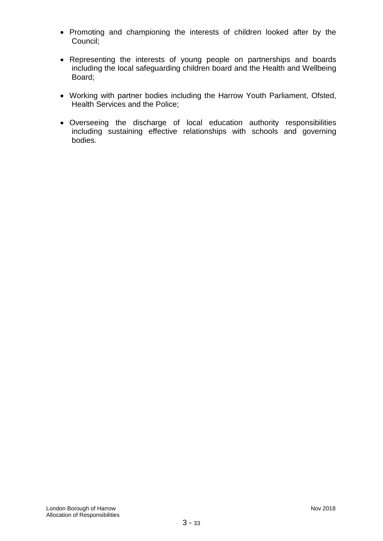- Promoting and championing the interests of children looked after by the Council;
- Representing the interests of young people on partnerships and boards including the local safeguarding children board and the Health and Wellbeing Board;
- Working with partner bodies including the Harrow Youth Parliament, Ofsted, Health Services and the Police;
- Overseeing the discharge of local education authority responsibilities including sustaining effective relationships with schools and governing bodies.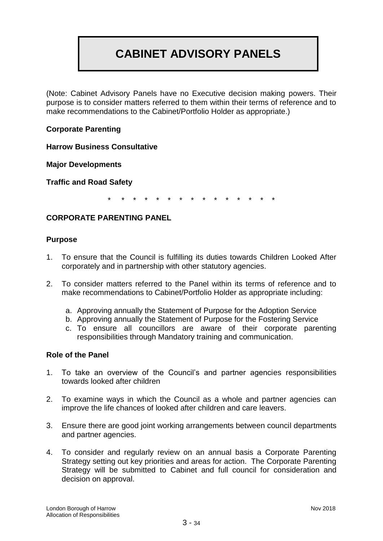# **CABINET ADVISORY PANELS**

(Note: Cabinet Advisory Panels have no Executive decision making powers. Their purpose is to consider matters referred to them within their terms of reference and to make recommendations to the Cabinet/Portfolio Holder as appropriate.)

# **Corporate Parenting**

**Harrow Business Consultative** 

**Major Developments**

**Traffic and Road Safety**

\* \* \* \* \* \* \* \* \* \* \* \* \* \* \*

### **CORPORATE PARENTING PANEL**

### **Purpose**

- 1. To ensure that the Council is fulfilling its duties towards Children Looked After corporately and in partnership with other statutory agencies.
- 2. To consider matters referred to the Panel within its terms of reference and to make recommendations to Cabinet/Portfolio Holder as appropriate including:
	- a. Approving annually the Statement of Purpose for the Adoption Service
	- b. Approving annually the Statement of Purpose for the Fostering Service
	- c. To ensure all councillors are aware of their corporate parenting responsibilities through Mandatory training and communication.

### **Role of the Panel**

- 1. To take an overview of the Council's and partner agencies responsibilities towards looked after children
- 2. To examine ways in which the Council as a whole and partner agencies can improve the life chances of looked after children and care leavers.
- 3. Ensure there are good joint working arrangements between council departments and partner agencies.
- 4. To consider and regularly review on an annual basis a Corporate Parenting Strategy setting out key priorities and areas for action. The Corporate Parenting Strategy will be submitted to Cabinet and full council for consideration and decision on approval.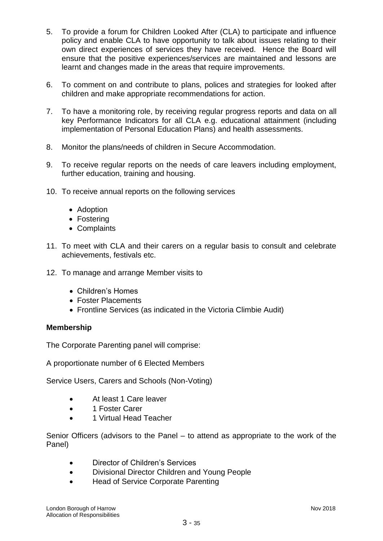- 5. To provide a forum for Children Looked After (CLA) to participate and influence policy and enable CLA to have opportunity to talk about issues relating to their own direct experiences of services they have received. Hence the Board will ensure that the positive experiences/services are maintained and lessons are learnt and changes made in the areas that require improvements.
- 6. To comment on and contribute to plans, polices and strategies for looked after children and make appropriate recommendations for action.
- 7. To have a monitoring role, by receiving regular progress reports and data on all key Performance Indicators for all CLA e.g. educational attainment (including implementation of Personal Education Plans) and health assessments.
- 8. Monitor the plans/needs of children in Secure Accommodation.
- 9. To receive regular reports on the needs of care leavers including employment, further education, training and housing.
- 10. To receive annual reports on the following services
	- Adoption
	- Fostering
	- Complaints
- 11. To meet with CLA and their carers on a regular basis to consult and celebrate achievements, festivals etc.
- 12. To manage and arrange Member visits to
	- Children's Homes
	- Foster Placements
	- Frontline Services (as indicated in the Victoria Climbie Audit)

### **Membership**

The Corporate Parenting panel will comprise:

A proportionate number of 6 Elected Members

Service Users, Carers and Schools (Non-Voting)

- At least 1 Care leaver
- 1 Foster Carer
- 1 Virtual Head Teacher

Senior Officers (advisors to the Panel – to attend as appropriate to the work of the Panel)

- Director of Children's Services
- Divisional Director Children and Young People
- Head of Service Corporate Parenting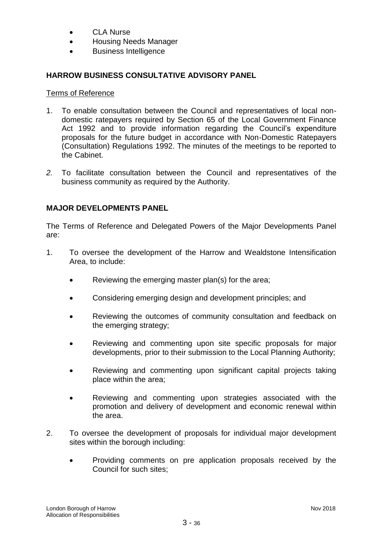- CLA Nurse
- Housing Needs Manager
- Business Intelligence

# **HARROW BUSINESS CONSULTATIVE ADVISORY PANEL**

### Terms of Reference

- 1. To enable consultation between the Council and representatives of local nondomestic ratepayers required by Section 65 of the Local Government Finance Act 1992 and to provide information regarding the Council's expenditure proposals for the future budget in accordance with Non-Domestic Ratepayers (Consultation) Regulations 1992. The minutes of the meetings to be reported to the Cabinet.
- *2.* To facilitate consultation between the Council and representatives of the business community as required by the Authority.

# **MAJOR DEVELOPMENTS PANEL**

The Terms of Reference and Delegated Powers of the Major Developments Panel are:

- 1. To oversee the development of the Harrow and Wealdstone Intensification Area, to include:
	- Reviewing the emerging master plan(s) for the area;
	- Considering emerging design and development principles; and
	- Reviewing the outcomes of community consultation and feedback on the emerging strategy;
	- Reviewing and commenting upon site specific proposals for major developments, prior to their submission to the Local Planning Authority;
	- Reviewing and commenting upon significant capital projects taking place within the area;
	- Reviewing and commenting upon strategies associated with the promotion and delivery of development and economic renewal within the area.
- 2. To oversee the development of proposals for individual major development sites within the borough including:
	- Providing comments on pre application proposals received by the Council for such sites;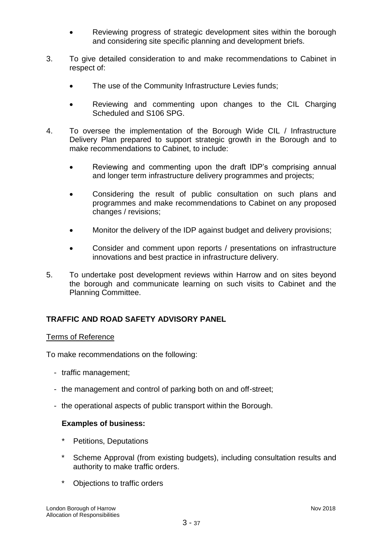- Reviewing progress of strategic development sites within the borough and considering site specific planning and development briefs.
- 3. To give detailed consideration to and make recommendations to Cabinet in respect of:
	- The use of the Community Infrastructure Levies funds;
	- Reviewing and commenting upon changes to the CIL Charging Scheduled and S106 SPG.
- 4. To oversee the implementation of the Borough Wide CIL / Infrastructure Delivery Plan prepared to support strategic growth in the Borough and to make recommendations to Cabinet, to include:
	- Reviewing and commenting upon the draft IDP's comprising annual and longer term infrastructure delivery programmes and projects;
	- Considering the result of public consultation on such plans and programmes and make recommendations to Cabinet on any proposed changes / revisions;
	- Monitor the delivery of the IDP against budget and delivery provisions;
	- Consider and comment upon reports / presentations on infrastructure innovations and best practice in infrastructure delivery.
- 5. To undertake post development reviews within Harrow and on sites beyond the borough and communicate learning on such visits to Cabinet and the Planning Committee.

# **TRAFFIC AND ROAD SAFETY ADVISORY PANEL**

### Terms of Reference

To make recommendations on the following:

- traffic management;
- the management and control of parking both on and off-street;
- the operational aspects of public transport within the Borough.

### **Examples of business:**

- Petitions, Deputations
- Scheme Approval (from existing budgets), including consultation results and authority to make traffic orders.
- \* Objections to traffic orders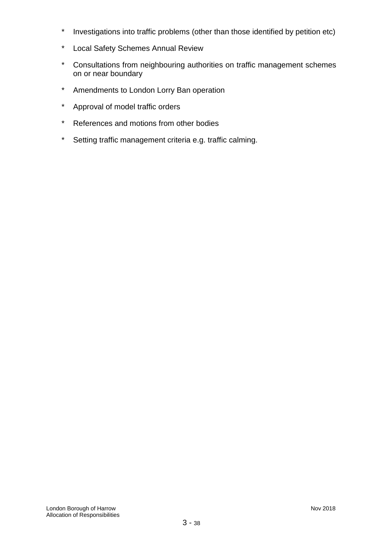- \* Investigations into traffic problems (other than those identified by petition etc)
- \* Local Safety Schemes Annual Review
- \* Consultations from neighbouring authorities on traffic management schemes on or near boundary
- \* Amendments to London Lorry Ban operation
- \* Approval of model traffic orders
- \* References and motions from other bodies
- \* Setting traffic management criteria e.g. traffic calming.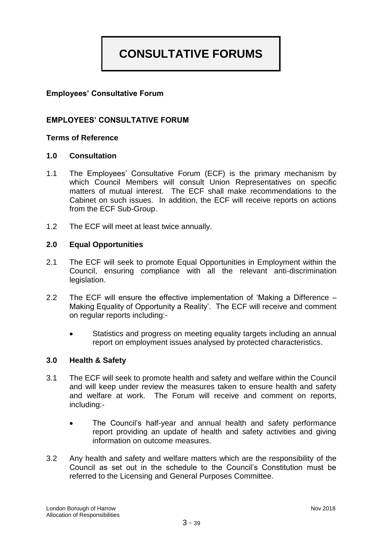# **CONSULTATIVE FORUMS**

# **Employees' Consultative Forum**

### **EMPLOYEES' CONSULTATIVE FORUM**

### **Terms of Reference**

### **1.0 Consultation**

- 1.1 The Employees' Consultative Forum (ECF) is the primary mechanism by which Council Members will consult Union Representatives on specific matters of mutual interest. The ECF shall make recommendations to the Cabinet on such issues. In addition, the ECF will receive reports on actions from the ECF Sub-Group.
- 1.2 The ECF will meet at least twice annually.

### **2.0 Equal Opportunities**

- 2.1 The ECF will seek to promote Equal Opportunities in Employment within the Council, ensuring compliance with all the relevant anti-discrimination legislation.
- 2.2 The ECF will ensure the effective implementation of 'Making a Difference Making Equality of Opportunity a Reality'. The ECF will receive and comment on regular reports including:-
	- Statistics and progress on meeting equality targets including an annual report on employment issues analysed by protected characteristics.

### **3.0 Health & Safety**

- 3.1 The ECF will seek to promote health and safety and welfare within the Council and will keep under review the measures taken to ensure health and safety and welfare at work. The Forum will receive and comment on reports, including:-
	- The Council's half-year and annual health and safety performance report providing an update of health and safety activities and giving information on outcome measures.
- 3.2 Any health and safety and welfare matters which are the responsibility of the Council as set out in the schedule to the Council's Constitution must be referred to the Licensing and General Purposes Committee.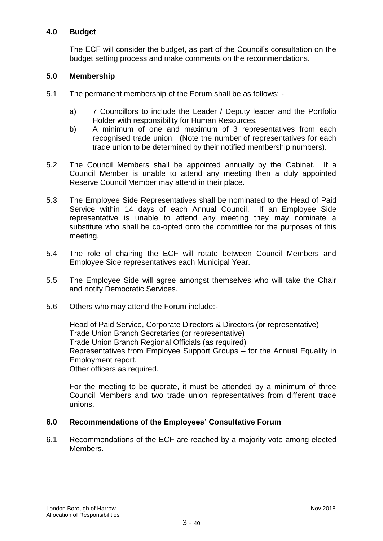### **4.0 Budget**

The ECF will consider the budget, as part of the Council's consultation on the budget setting process and make comments on the recommendations.

### **5.0 Membership**

- 5.1 The permanent membership of the Forum shall be as follows:
	- a) 7 Councillors to include the Leader / Deputy leader and the Portfolio Holder with responsibility for Human Resources.
	- b) A minimum of one and maximum of 3 representatives from each recognised trade union. (Note the number of representatives for each trade union to be determined by their notified membership numbers).
- 5.2 The Council Members shall be appointed annually by the Cabinet. If a Council Member is unable to attend any meeting then a duly appointed Reserve Council Member may attend in their place.
- 5.3 The Employee Side Representatives shall be nominated to the Head of Paid Service within 14 days of each Annual Council. If an Employee Side representative is unable to attend any meeting they may nominate a substitute who shall be co-opted onto the committee for the purposes of this meeting.
- 5.4 The role of chairing the ECF will rotate between Council Members and Employee Side representatives each Municipal Year.
- 5.5 The Employee Side will agree amongst themselves who will take the Chair and notify Democratic Services.
- 5.6 Others who may attend the Forum include:-

Head of Paid Service, Corporate Directors & Directors (or representative) Trade Union Branch Secretaries (or representative) Trade Union Branch Regional Officials (as required) Representatives from Employee Support Groups – for the Annual Equality in Employment report. Other officers as required.

For the meeting to be quorate, it must be attended by a minimum of three Council Members and two trade union representatives from different trade unions.

### **6.0 Recommendations of the Employees' Consultative Forum**

6.1 Recommendations of the ECF are reached by a majority vote among elected Members.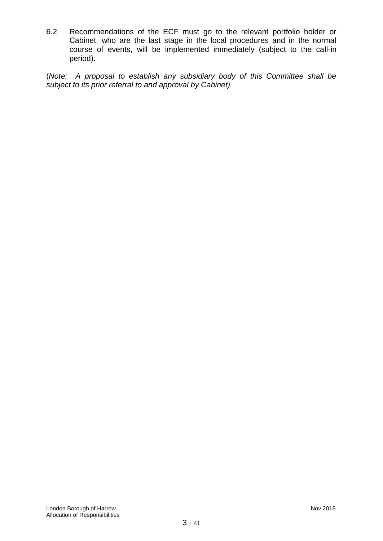6.2 Recommendations of the ECF must go to the relevant portfolio holder or Cabinet, who are the last stage in the local procedures and in the normal course of events, will be implemented immediately (subject to the call-in period).

(*Note: A proposal to establish any subsidiary body of this Committee shall be subject to its prior referral to and approval by Cabinet).*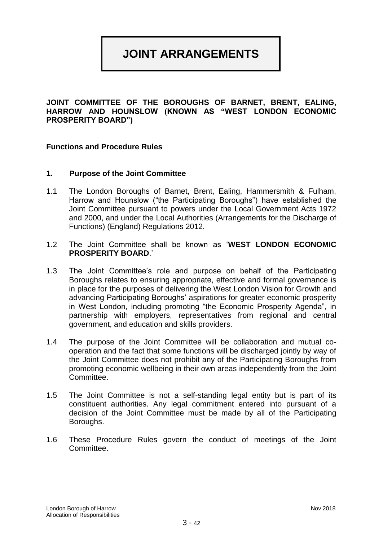# **JOINT ARRANGEMENTS**

**JOINT COMMITTEE OF THE BOROUGHS OF BARNET, BRENT, EALING, HARROW AND HOUNSLOW (KNOWN AS "WEST LONDON ECONOMIC PROSPERITY BOARD")**

### **Functions and Procedure Rules**

### **1. Purpose of the Joint Committee**

- 1.1 The London Boroughs of Barnet, Brent, Ealing, Hammersmith & Fulham, Harrow and Hounslow ("the Participating Boroughs") have established the Joint Committee pursuant to powers under the Local Government Acts 1972 and 2000, and under the Local Authorities (Arrangements for the Discharge of Functions) (England) Regulations 2012.
- 1.2 The Joint Committee shall be known as '**WEST LONDON ECONOMIC PROSPERITY BOARD**.'
- 1.3 The Joint Committee's role and purpose on behalf of the Participating Boroughs relates to ensuring appropriate, effective and formal governance is in place for the purposes of delivering the West London Vision for Growth and advancing Participating Boroughs' aspirations for greater economic prosperity in West London, including promoting "the Economic Prosperity Agenda", in partnership with employers, representatives from regional and central government, and education and skills providers.
- 1.4 The purpose of the Joint Committee will be collaboration and mutual cooperation and the fact that some functions will be discharged jointly by way of the Joint Committee does not prohibit any of the Participating Boroughs from promoting economic wellbeing in their own areas independently from the Joint Committee.
- 1.5 The Joint Committee is not a self-standing legal entity but is part of its constituent authorities. Any legal commitment entered into pursuant of a decision of the Joint Committee must be made by all of the Participating Boroughs.
- 1.6 These Procedure Rules govern the conduct of meetings of the Joint Committee.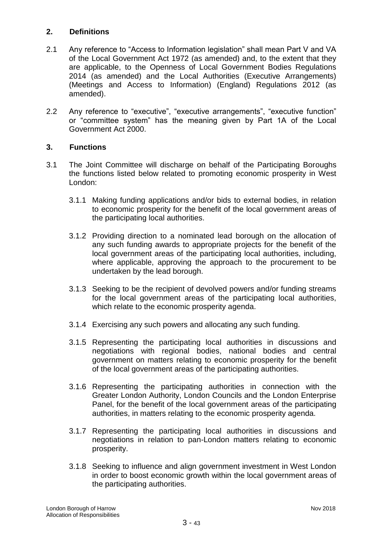# **2. Definitions**

- 2.1 Any reference to "Access to Information legislation" shall mean Part V and VA of the Local Government Act 1972 (as amended) and, to the extent that they are applicable, to the Openness of Local Government Bodies Regulations 2014 (as amended) and the Local Authorities (Executive Arrangements) (Meetings and Access to Information) (England) Regulations 2012 (as amended).
- 2.2 Any reference to "executive", "executive arrangements", "executive function" or "committee system" has the meaning given by Part 1A of the Local Government Act 2000.

# **3. Functions**

- 3.1 The Joint Committee will discharge on behalf of the Participating Boroughs the functions listed below related to promoting economic prosperity in West London:
	- 3.1.1 Making funding applications and/or bids to external bodies, in relation to economic prosperity for the benefit of the local government areas of the participating local authorities.
	- 3.1.2 Providing direction to a nominated lead borough on the allocation of any such funding awards to appropriate projects for the benefit of the local government areas of the participating local authorities, including, where applicable, approving the approach to the procurement to be undertaken by the lead borough.
	- 3.1.3 Seeking to be the recipient of devolved powers and/or funding streams for the local government areas of the participating local authorities, which relate to the economic prosperity agenda.
	- 3.1.4 Exercising any such powers and allocating any such funding.
	- 3.1.5 Representing the participating local authorities in discussions and negotiations with regional bodies, national bodies and central government on matters relating to economic prosperity for the benefit of the local government areas of the participating authorities.
	- 3.1.6 Representing the participating authorities in connection with the Greater London Authority, London Councils and the London Enterprise Panel, for the benefit of the local government areas of the participating authorities, in matters relating to the economic prosperity agenda.
	- 3.1.7 Representing the participating local authorities in discussions and negotiations in relation to pan-London matters relating to economic prosperity.
	- 3.1.8 Seeking to influence and align government investment in West London in order to boost economic growth within the local government areas of the participating authorities.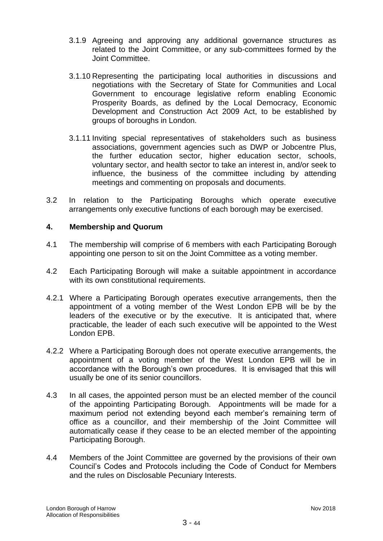- 3.1.9 Agreeing and approving any additional governance structures as related to the Joint Committee, or any sub-committees formed by the Joint Committee.
- 3.1.10 Representing the participating local authorities in discussions and negotiations with the Secretary of State for Communities and Local Government to encourage legislative reform enabling Economic Prosperity Boards, as defined by the Local Democracy, Economic Development and Construction Act 2009 Act, to be established by groups of boroughs in London.
- 3.1.11 Inviting special representatives of stakeholders such as business associations, government agencies such as DWP or Jobcentre Plus, the further education sector, higher education sector, schools, voluntary sector, and health sector to take an interest in, and/or seek to influence, the business of the committee including by attending meetings and commenting on proposals and documents.
- 3.2 In relation to the Participating Boroughs which operate executive arrangements only executive functions of each borough may be exercised.

### **4. Membership and Quorum**

- 4.1 The membership will comprise of 6 members with each Participating Borough appointing one person to sit on the Joint Committee as a voting member.
- 4.2 Each Participating Borough will make a suitable appointment in accordance with its own constitutional requirements.
- 4.2.1 Where a Participating Borough operates executive arrangements, then the appointment of a voting member of the West London EPB will be by the leaders of the executive or by the executive. It is anticipated that, where practicable, the leader of each such executive will be appointed to the West London EPB.
- 4.2.2 Where a Participating Borough does not operate executive arrangements, the appointment of a voting member of the West London EPB will be in accordance with the Borough's own procedures. It is envisaged that this will usually be one of its senior councillors.
- 4.3 In all cases, the appointed person must be an elected member of the council of the appointing Participating Borough. Appointments will be made for a maximum period not extending beyond each member's remaining term of office as a councillor, and their membership of the Joint Committee will automatically cease if they cease to be an elected member of the appointing Participating Borough.
- 4.4 Members of the Joint Committee are governed by the provisions of their own Council's Codes and Protocols including the Code of Conduct for Members and the rules on Disclosable Pecuniary Interests.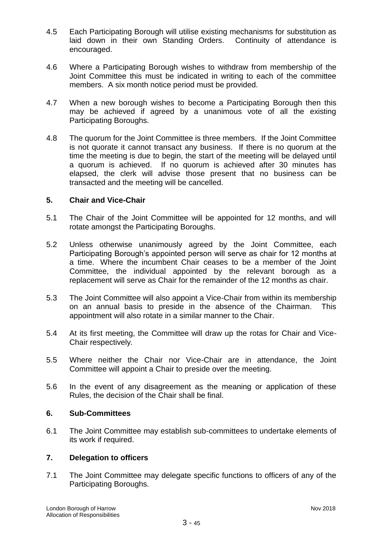- 4.5 Each Participating Borough will utilise existing mechanisms for substitution as laid down in their own Standing Orders. Continuity of attendance is encouraged.
- 4.6 Where a Participating Borough wishes to withdraw from membership of the Joint Committee this must be indicated in writing to each of the committee members. A six month notice period must be provided.
- 4.7 When a new borough wishes to become a Participating Borough then this may be achieved if agreed by a unanimous vote of all the existing Participating Boroughs.
- 4.8 The quorum for the Joint Committee is three members. If the Joint Committee is not quorate it cannot transact any business. If there is no quorum at the time the meeting is due to begin, the start of the meeting will be delayed until a quorum is achieved. If no quorum is achieved after 30 minutes has elapsed, the clerk will advise those present that no business can be transacted and the meeting will be cancelled.

### **5. Chair and Vice-Chair**

- 5.1 The Chair of the Joint Committee will be appointed for 12 months, and will rotate amongst the Participating Boroughs.
- 5.2 Unless otherwise unanimously agreed by the Joint Committee, each Participating Borough's appointed person will serve as chair for 12 months at a time. Where the incumbent Chair ceases to be a member of the Joint Committee, the individual appointed by the relevant borough as a replacement will serve as Chair for the remainder of the 12 months as chair.
- 5.3 The Joint Committee will also appoint a Vice-Chair from within its membership on an annual basis to preside in the absence of the Chairman. This appointment will also rotate in a similar manner to the Chair.
- 5.4 At its first meeting, the Committee will draw up the rotas for Chair and Vice-Chair respectively.
- 5.5 Where neither the Chair nor Vice-Chair are in attendance, the Joint Committee will appoint a Chair to preside over the meeting.
- 5.6 In the event of any disagreement as the meaning or application of these Rules, the decision of the Chair shall be final.

### **6. Sub-Committees**

6.1 The Joint Committee may establish sub-committees to undertake elements of its work if required.

### **7. Delegation to officers**

7.1 The Joint Committee may delegate specific functions to officers of any of the Participating Boroughs.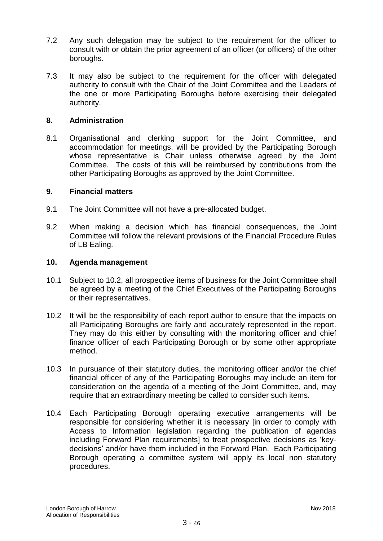- 7.2 Any such delegation may be subject to the requirement for the officer to consult with or obtain the prior agreement of an officer (or officers) of the other boroughs.
- 7.3 It may also be subject to the requirement for the officer with delegated authority to consult with the Chair of the Joint Committee and the Leaders of the one or more Participating Boroughs before exercising their delegated authority.

### **8. Administration**

8.1 Organisational and clerking support for the Joint Committee, and accommodation for meetings, will be provided by the Participating Borough whose representative is Chair unless otherwise agreed by the Joint Committee. The costs of this will be reimbursed by contributions from the other Participating Boroughs as approved by the Joint Committee.

### **9. Financial matters**

- 9.1 The Joint Committee will not have a pre-allocated budget.
- 9.2 When making a decision which has financial consequences, the Joint Committee will follow the relevant provisions of the Financial Procedure Rules of LB Ealing.

### **10. Agenda management**

- 10.1 Subject to 10.2, all prospective items of business for the Joint Committee shall be agreed by a meeting of the Chief Executives of the Participating Boroughs or their representatives.
- 10.2 It will be the responsibility of each report author to ensure that the impacts on all Participating Boroughs are fairly and accurately represented in the report. They may do this either by consulting with the monitoring officer and chief finance officer of each Participating Borough or by some other appropriate method.
- 10.3 In pursuance of their statutory duties, the monitoring officer and/or the chief financial officer of any of the Participating Boroughs may include an item for consideration on the agenda of a meeting of the Joint Committee, and, may require that an extraordinary meeting be called to consider such items.
- 10.4 Each Participating Borough operating executive arrangements will be responsible for considering whether it is necessary [in order to comply with Access to Information legislation regarding the publication of agendas including Forward Plan requirements] to treat prospective decisions as 'keydecisions' and/or have them included in the Forward Plan. Each Participating Borough operating a committee system will apply its local non statutory procedures.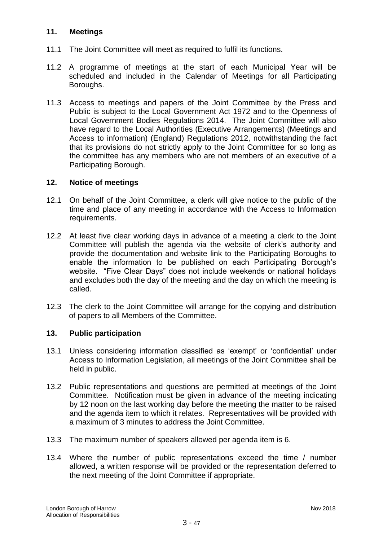### **11. Meetings**

- 11.1 The Joint Committee will meet as required to fulfil its functions.
- 11.2 A programme of meetings at the start of each Municipal Year will be scheduled and included in the Calendar of Meetings for all Participating Boroughs.
- 11.3 Access to meetings and papers of the Joint Committee by the Press and Public is subject to the Local Government Act 1972 and to the Openness of Local Government Bodies Regulations 2014. The Joint Committee will also have regard to the Local Authorities (Executive Arrangements) (Meetings and Access to information) (England) Regulations 2012, notwithstanding the fact that its provisions do not strictly apply to the Joint Committee for so long as the committee has any members who are not members of an executive of a Participating Borough.

### **12. Notice of meetings**

- 12.1 On behalf of the Joint Committee, a clerk will give notice to the public of the time and place of any meeting in accordance with the Access to Information requirements.
- 12.2 At least five clear working days in advance of a meeting a clerk to the Joint Committee will publish the agenda via the website of clerk's authority and provide the documentation and website link to the Participating Boroughs to enable the information to be published on each Participating Borough's website. "Five Clear Days" does not include weekends or national holidays and excludes both the day of the meeting and the day on which the meeting is called.
- 12.3 The clerk to the Joint Committee will arrange for the copying and distribution of papers to all Members of the Committee.

### **13. Public participation**

- 13.1 Unless considering information classified as 'exempt' or 'confidential' under Access to Information Legislation, all meetings of the Joint Committee shall be held in public.
- 13.2 Public representations and questions are permitted at meetings of the Joint Committee. Notification must be given in advance of the meeting indicating by 12 noon on the last working day before the meeting the matter to be raised and the agenda item to which it relates. Representatives will be provided with a maximum of 3 minutes to address the Joint Committee.
- 13.3 The maximum number of speakers allowed per agenda item is 6.
- 13.4 Where the number of public representations exceed the time / number allowed, a written response will be provided or the representation deferred to the next meeting of the Joint Committee if appropriate.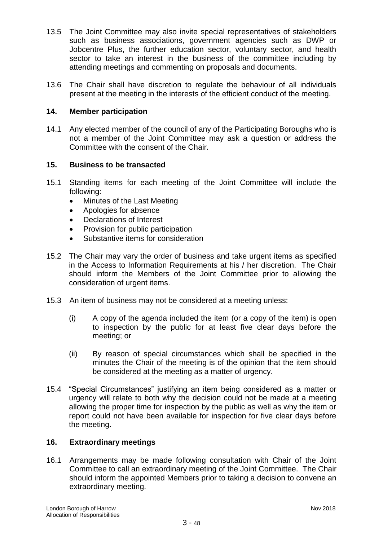- 13.5 The Joint Committee may also invite special representatives of stakeholders such as business associations, government agencies such as DWP or Jobcentre Plus, the further education sector, voluntary sector, and health sector to take an interest in the business of the committee including by attending meetings and commenting on proposals and documents.
- 13.6 The Chair shall have discretion to regulate the behaviour of all individuals present at the meeting in the interests of the efficient conduct of the meeting.

### **14. Member participation**

14.1 Any elected member of the council of any of the Participating Boroughs who is not a member of the Joint Committee may ask a question or address the Committee with the consent of the Chair.

### **15. Business to be transacted**

- 15.1 Standing items for each meeting of the Joint Committee will include the following:
	- Minutes of the Last Meeting
	- Apologies for absence
	- Declarations of Interest
	- Provision for public participation
	- Substantive items for consideration
- 15.2 The Chair may vary the order of business and take urgent items as specified in the Access to Information Requirements at his / her discretion. The Chair should inform the Members of the Joint Committee prior to allowing the consideration of urgent items.
- 15.3 An item of business may not be considered at a meeting unless:
	- (i) A copy of the agenda included the item (or a copy of the item) is open to inspection by the public for at least five clear days before the meeting; or
	- (ii) By reason of special circumstances which shall be specified in the minutes the Chair of the meeting is of the opinion that the item should be considered at the meeting as a matter of urgency.
- 15.4 "Special Circumstances" justifying an item being considered as a matter or urgency will relate to both why the decision could not be made at a meeting allowing the proper time for inspection by the public as well as why the item or report could not have been available for inspection for five clear days before the meeting.

### **16. Extraordinary meetings**

16.1 Arrangements may be made following consultation with Chair of the Joint Committee to call an extraordinary meeting of the Joint Committee. The Chair should inform the appointed Members prior to taking a decision to convene an extraordinary meeting.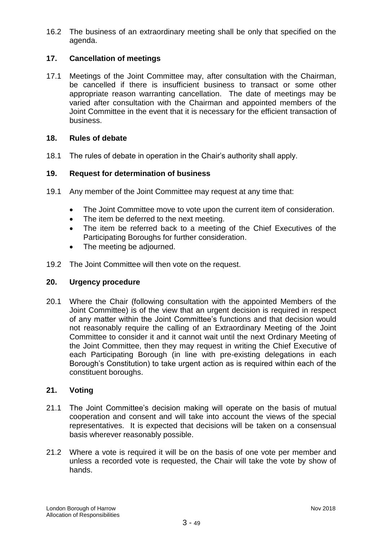16.2 The business of an extraordinary meeting shall be only that specified on the agenda.

# **17. Cancellation of meetings**

17.1 Meetings of the Joint Committee may, after consultation with the Chairman, be cancelled if there is insufficient business to transact or some other appropriate reason warranting cancellation. The date of meetings may be varied after consultation with the Chairman and appointed members of the Joint Committee in the event that it is necessary for the efficient transaction of business.

### **18. Rules of debate**

18.1 The rules of debate in operation in the Chair's authority shall apply.

### **19. Request for determination of business**

- 19.1 Any member of the Joint Committee may request at any time that:
	- The Joint Committee move to vote upon the current item of consideration.
	- The item be deferred to the next meeting.
	- The item be referred back to a meeting of the Chief Executives of the Participating Boroughs for further consideration.
	- The meeting be adjourned.
- 19.2 The Joint Committee will then vote on the request.

### **20. Urgency procedure**

20.1 Where the Chair (following consultation with the appointed Members of the Joint Committee) is of the view that an urgent decision is required in respect of any matter within the Joint Committee's functions and that decision would not reasonably require the calling of an Extraordinary Meeting of the Joint Committee to consider it and it cannot wait until the next Ordinary Meeting of the Joint Committee, then they may request in writing the Chief Executive of each Participating Borough (in line with pre-existing delegations in each Borough's Constitution) to take urgent action as is required within each of the constituent boroughs.

### **21. Voting**

- 21.1 The Joint Committee's decision making will operate on the basis of mutual cooperation and consent and will take into account the views of the special representatives. It is expected that decisions will be taken on a consensual basis wherever reasonably possible.
- 21.2 Where a vote is required it will be on the basis of one vote per member and unless a recorded vote is requested, the Chair will take the vote by show of hands.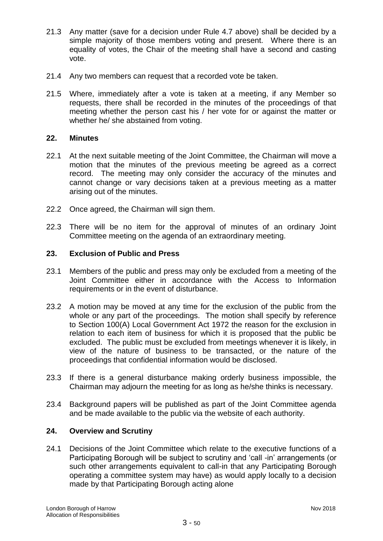- 21.3 Any matter (save for a decision under Rule 4.7 above) shall be decided by a simple majority of those members voting and present. Where there is an equality of votes, the Chair of the meeting shall have a second and casting vote.
- 21.4 Any two members can request that a recorded vote be taken.
- 21.5 Where, immediately after a vote is taken at a meeting, if any Member so requests, there shall be recorded in the minutes of the proceedings of that meeting whether the person cast his / her vote for or against the matter or whether he/ she abstained from voting.

### **22. Minutes**

- 22.1 At the next suitable meeting of the Joint Committee, the Chairman will move a motion that the minutes of the previous meeting be agreed as a correct record. The meeting may only consider the accuracy of the minutes and cannot change or vary decisions taken at a previous meeting as a matter arising out of the minutes.
- 22.2 Once agreed, the Chairman will sign them.
- 22.3 There will be no item for the approval of minutes of an ordinary Joint Committee meeting on the agenda of an extraordinary meeting.

# **23. Exclusion of Public and Press**

- 23.1 Members of the public and press may only be excluded from a meeting of the Joint Committee either in accordance with the Access to Information requirements or in the event of disturbance.
- 23.2 A motion may be moved at any time for the exclusion of the public from the whole or any part of the proceedings. The motion shall specify by reference to Section 100(A) Local Government Act 1972 the reason for the exclusion in relation to each item of business for which it is proposed that the public be excluded. The public must be excluded from meetings whenever it is likely, in view of the nature of business to be transacted, or the nature of the proceedings that confidential information would be disclosed.
- 23.3 If there is a general disturbance making orderly business impossible, the Chairman may adjourn the meeting for as long as he/she thinks is necessary.
- 23.4 Background papers will be published as part of the Joint Committee agenda and be made available to the public via the website of each authority.

### **24. Overview and Scrutiny**

24.1 Decisions of the Joint Committee which relate to the executive functions of a Participating Borough will be subject to scrutiny and 'call -in' arrangements (or such other arrangements equivalent to call-in that any Participating Borough operating a committee system may have) as would apply locally to a decision made by that Participating Borough acting alone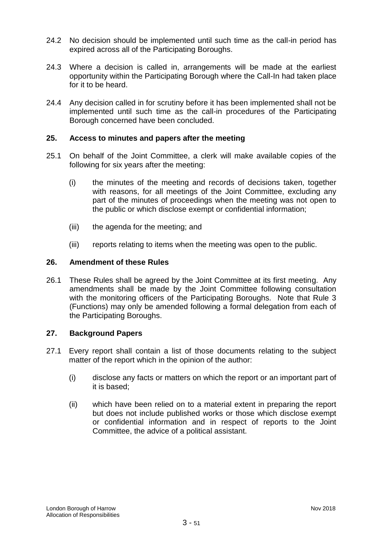- 24.2 No decision should be implemented until such time as the call-in period has expired across all of the Participating Boroughs.
- 24.3 Where a decision is called in, arrangements will be made at the earliest opportunity within the Participating Borough where the Call-In had taken place for it to be heard.
- 24.4 Any decision called in for scrutiny before it has been implemented shall not be implemented until such time as the call-in procedures of the Participating Borough concerned have been concluded.

### **25. Access to minutes and papers after the meeting**

- 25.1 On behalf of the Joint Committee, a clerk will make available copies of the following for six years after the meeting:
	- (i) the minutes of the meeting and records of decisions taken, together with reasons, for all meetings of the Joint Committee, excluding any part of the minutes of proceedings when the meeting was not open to the public or which disclose exempt or confidential information;
	- (iii) the agenda for the meeting; and
	- (iii) reports relating to items when the meeting was open to the public.

### **26. Amendment of these Rules**

26.1 These Rules shall be agreed by the Joint Committee at its first meeting. Any amendments shall be made by the Joint Committee following consultation with the monitoring officers of the Participating Boroughs. Note that Rule 3 (Functions) may only be amended following a formal delegation from each of the Participating Boroughs.

### **27. Background Papers**

- 27.1 Every report shall contain a list of those documents relating to the subject matter of the report which in the opinion of the author:
	- (i) disclose any facts or matters on which the report or an important part of it is based;
	- (ii) which have been relied on to a material extent in preparing the report but does not include published works or those which disclose exempt or confidential information and in respect of reports to the Joint Committee, the advice of a political assistant.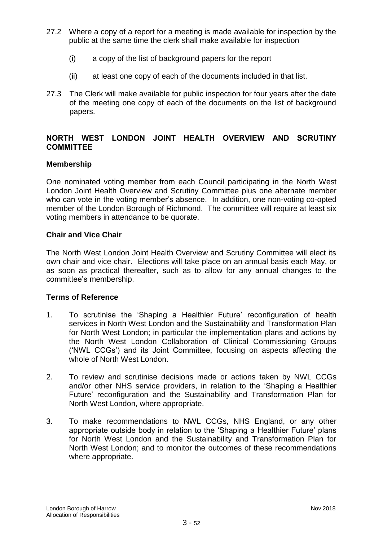- 27.2 Where a copy of a report for a meeting is made available for inspection by the public at the same time the clerk shall make available for inspection
	- (i) a copy of the list of background papers for the report
	- (ii) at least one copy of each of the documents included in that list.
- 27.3 The Clerk will make available for public inspection for four years after the date of the meeting one copy of each of the documents on the list of background papers.

# **NORTH WEST LONDON JOINT HEALTH OVERVIEW AND SCRUTINY COMMITTEE**

### **Membership**

One nominated voting member from each Council participating in the North West London Joint Health Overview and Scrutiny Committee plus one alternate member who can vote in the voting member's absence. In addition, one non-voting co-opted member of the London Borough of Richmond. The committee will require at least six voting members in attendance to be quorate.

# **Chair and Vice Chair**

The North West London Joint Health Overview and Scrutiny Committee will elect its own chair and vice chair. Elections will take place on an annual basis each May, or as soon as practical thereafter, such as to allow for any annual changes to the committee's membership.

### **Terms of Reference**

- 1. To scrutinise the 'Shaping a Healthier Future' reconfiguration of health services in North West London and the Sustainability and Transformation Plan for North West London; in particular the implementation plans and actions by the North West London Collaboration of Clinical Commissioning Groups ('NWL CCGs') and its Joint Committee, focusing on aspects affecting the whole of North West London.
- 2. To review and scrutinise decisions made or actions taken by NWL CCGs and/or other NHS service providers, in relation to the 'Shaping a Healthier Future' reconfiguration and the Sustainability and Transformation Plan for North West London, where appropriate.
- 3. To make recommendations to NWL CCGs, NHS England, or any other appropriate outside body in relation to the 'Shaping a Healthier Future' plans for North West London and the Sustainability and Transformation Plan for North West London; and to monitor the outcomes of these recommendations where appropriate.